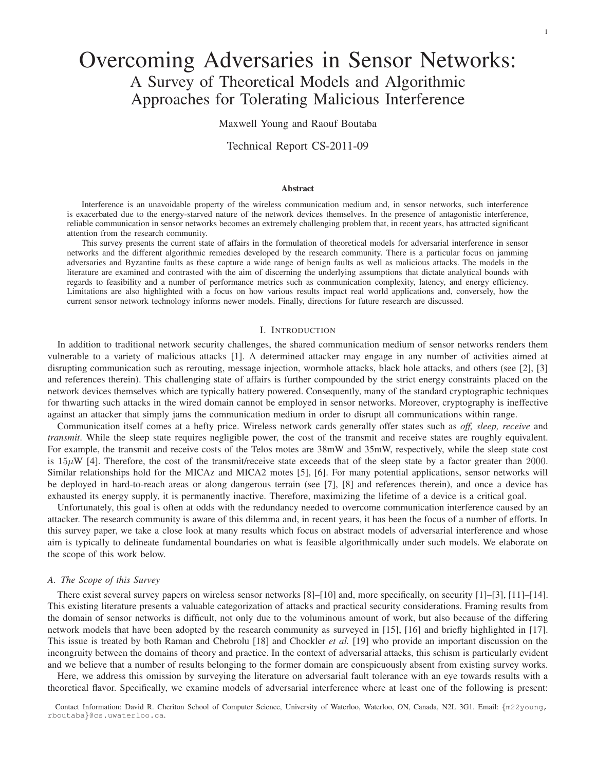# Overcoming Adversaries in Sensor Networks: A Survey of Theoretical Models and Algorithmic Approaches for Tolerating Malicious Interference

Maxwell Young and Raouf Boutaba

# Technical Report CS-2011-09

#### **Abstract**

Interference is an unavoidable property of the wireless communication medium and, in sensor networks, such interference is exacerbated due to the energy-starved nature of the network devices themselves. In the presence of antagonistic interference, reliable communication in sensor networks becomes an extremely challenging problem that, in recent years, has attracted significant attention from the research community.

This survey presents the current state of affairs in the formulation of theoretical models for adversarial interference in sensor networks and the different algorithmic remedies developed by the research community. There is a particular focus on jamming adversaries and Byzantine faults as these capture a wide range of benign faults as well as malicious attacks. The models in the literature are examined and contrasted with the aim of discerning the underlying assumptions that dictate analytical bounds with regards to feasibility and a number of performance metrics such as communication complexity, latency, and energy efficiency. Limitations are also highlighted with a focus on how various results impact real world applications and, conversely, how the current sensor network technology informs newer models. Finally, directions for future research are discussed.

## I. INTRODUCTION

In addition to traditional network security challenges, the shared communication medium of sensor networks renders them vulnerable to a variety of malicious attacks [1]. A determined attacker may engage in any number of activities aimed at disrupting communication such as rerouting, message injection, wormhole attacks, black hole attacks, and others (see [2], [3] and references therein). This challenging state of affairs is further compounded by the strict energy constraints placed on the network devices themselves which are typically battery powered. Consequently, many of the standard cryptographic techniques for thwarting such attacks in the wired domain cannot be employed in sensor networks. Moreover, cryptography is ineffective against an attacker that simply jams the communication medium in order to disrupt all communications within range.

Communication itself comes at a hefty price. Wireless network cards generally offer states such as *off, sleep, receive* and *transmit*. While the sleep state requires negligible power, the cost of the transmit and receive states are roughly equivalent. For example, the transmit and receive costs of the Telos motes are 38mW and 35mW, respectively, while the sleep state cost is  $15\mu$ W [4]. Therefore, the cost of the transmit/receive state exceeds that of the sleep state by a factor greater than 2000. Similar relationships hold for the MICAz and MICA2 motes [5], [6]. For many potential applications, sensor networks will be deployed in hard-to-reach areas or along dangerous terrain (see [7], [8] and references therein), and once a device has exhausted its energy supply, it is permanently inactive. Therefore, maximizing the lifetime of a device is a critical goal.

Unfortunately, this goal is often at odds with the redundancy needed to overcome communication interference caused by an attacker. The research community is aware of this dilemma and, in recent years, it has been the focus of a number of efforts. In this survey paper, we take a close look at many results which focus on abstract models of adversarial interference and whose aim is typically to delineate fundamental boundaries on what is feasible algorithmically under such models. We elaborate on the scope of this work below.

#### *A. The Scope of this Survey*

There exist several survey papers on wireless sensor networks [8]–[10] and, more specifically, on security [1]–[3], [11]–[14]. This existing literature presents a valuable categorization of attacks and practical security considerations. Framing results from the domain of sensor networks is difficult, not only due to the voluminous amount of work, but also because of the differing network models that have been adopted by the research community as surveyed in [15], [16] and briefly highlighted in [17]. This issue is treated by both Raman and Chebrolu [18] and Chockler *et al.* [19] who provide an important discussion on the incongruity between the domains of theory and practice. In the context of adversarial attacks, this schism is particularly evident and we believe that a number of results belonging to the former domain are conspicuously absent from existing survey works.

Here, we address this omission by surveying the literature on adversarial fault tolerance with an eye towards results with a theoretical flavor. Specifically, we examine models of adversarial interference where at least one of the following is present:

Contact Information: David R. Cheriton School of Computer Science, University of Waterloo, Waterloo, ON, Canada, N2L 3G1. Email: {m22young, rboutaba}@cs.uwaterloo.ca.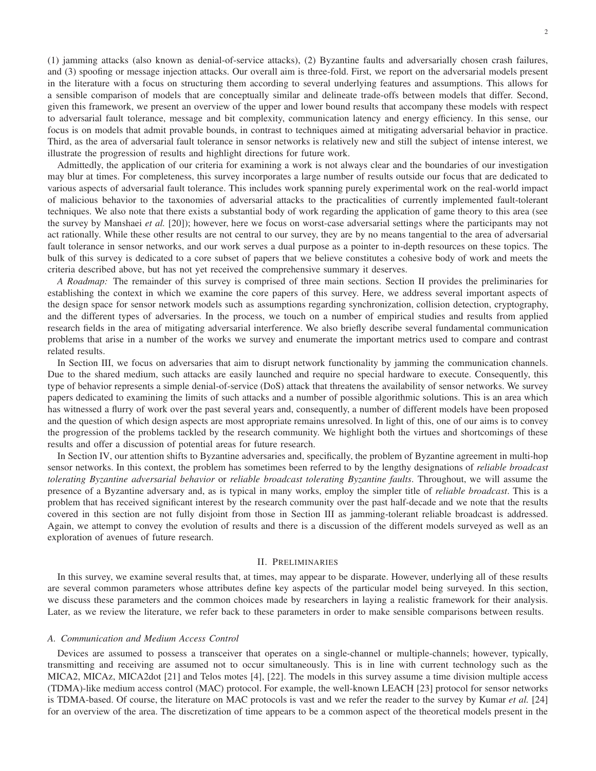2

(1) jamming attacks (also known as denial-of-service attacks), (2) Byzantine faults and adversarially chosen crash failures, and (3) spoofing or message injection attacks. Our overall aim is three-fold. First, we report on the adversarial models present in the literature with a focus on structuring them according to several underlying features and assumptions. This allows for a sensible comparison of models that are conceptually similar and delineate trade-offs between models that differ. Second, given this framework, we present an overview of the upper and lower bound results that accompany these models with respect to adversarial fault tolerance, message and bit complexity, communication latency and energy efficiency. In this sense, our focus is on models that admit provable bounds, in contrast to techniques aimed at mitigating adversarial behavior in practice. Third, as the area of adversarial fault tolerance in sensor networks is relatively new and still the subject of intense interest, we illustrate the progression of results and highlight directions for future work.

Admittedly, the application of our criteria for examining a work is not always clear and the boundaries of our investigation may blur at times. For completeness, this survey incorporates a large number of results outside our focus that are dedicated to various aspects of adversarial fault tolerance. This includes work spanning purely experimental work on the real-world impact of malicious behavior to the taxonomies of adversarial attacks to the practicalities of currently implemented fault-tolerant techniques. We also note that there exists a substantial body of work regarding the application of game theory to this area (see the survey by Manshaei *et al.* [20]); however, here we focus on worst-case adversarial settings where the participants may not act rationally. While these other results are not central to our survey, they are by no means tangential to the area of adversarial fault tolerance in sensor networks, and our work serves a dual purpose as a pointer to in-depth resources on these topics. The bulk of this survey is dedicated to a core subset of papers that we believe constitutes a cohesive body of work and meets the criteria described above, but has not yet received the comprehensive summary it deserves.

*A Roadmap:* The remainder of this survey is comprised of three main sections. Section II provides the preliminaries for establishing the context in which we examine the core papers of this survey. Here, we address several important aspects of the design space for sensor network models such as assumptions regarding synchronization, collision detection, cryptography, and the different types of adversaries. In the process, we touch on a number of empirical studies and results from applied research fields in the area of mitigating adversarial interference. We also briefly describe several fundamental communication problems that arise in a number of the works we survey and enumerate the important metrics used to compare and contrast related results.

In Section III, we focus on adversaries that aim to disrupt network functionality by jamming the communication channels. Due to the shared medium, such attacks are easily launched and require no special hardware to execute. Consequently, this type of behavior represents a simple denial-of-service (DoS) attack that threatens the availability of sensor networks. We survey papers dedicated to examining the limits of such attacks and a number of possible algorithmic solutions. This is an area which has witnessed a flurry of work over the past several years and, consequently, a number of different models have been proposed and the question of which design aspects are most appropriate remains unresolved. In light of this, one of our aims is to convey the progression of the problems tackled by the research community. We highlight both the virtues and shortcomings of these results and offer a discussion of potential areas for future research.

In Section IV, our attention shifts to Byzantine adversaries and, specifically, the problem of Byzantine agreement in multi-hop sensor networks. In this context, the problem has sometimes been referred to by the lengthy designations of *reliable broadcast tolerating Byzantine adversarial behavior* or *reliable broadcast tolerating Byzantine faults*. Throughout, we will assume the presence of a Byzantine adversary and, as is typical in many works, employ the simpler title of *reliable broadcast*. This is a problem that has received significant interest by the research community over the past half-decade and we note that the results covered in this section are not fully disjoint from those in Section III as jamming-tolerant reliable broadcast is addressed. Again, we attempt to convey the evolution of results and there is a discussion of the different models surveyed as well as an exploration of avenues of future research.

## II. PRELIMINARIES

In this survey, we examine several results that, at times, may appear to be disparate. However, underlying all of these results are several common parameters whose attributes define key aspects of the particular model being surveyed. In this section, we discuss these parameters and the common choices made by researchers in laying a realistic framework for their analysis. Later, as we review the literature, we refer back to these parameters in order to make sensible comparisons between results.

#### *A. Communication and Medium Access Control*

Devices are assumed to possess a transceiver that operates on a single-channel or multiple-channels; however, typically, transmitting and receiving are assumed not to occur simultaneously. This is in line with current technology such as the MICA2, MICAz, MICA2dot [21] and Telos motes [4], [22]. The models in this survey assume a time division multiple access (TDMA)-like medium access control (MAC) protocol. For example, the well-known LEACH [23] protocol for sensor networks is TDMA-based. Of course, the literature on MAC protocols is vast and we refer the reader to the survey by Kumar *et al.* [24] for an overview of the area. The discretization of time appears to be a common aspect of the theoretical models present in the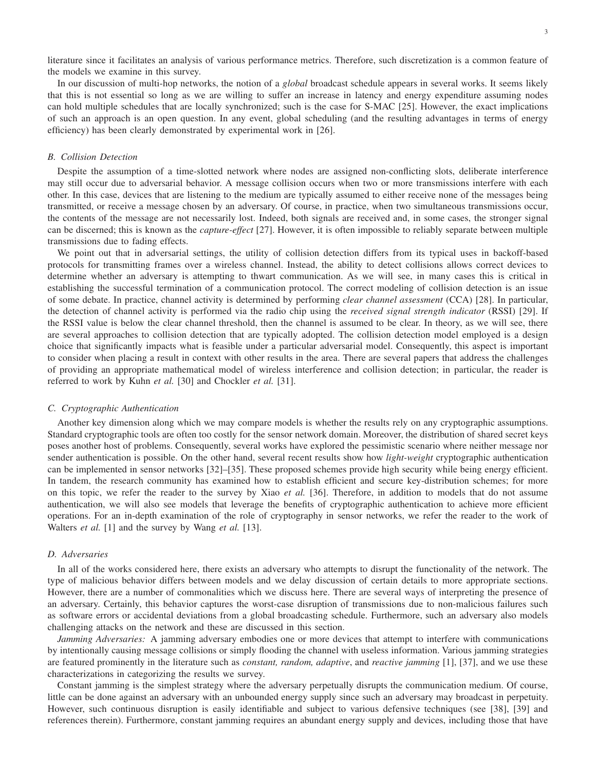literature since it facilitates an analysis of various performance metrics. Therefore, such discretization is a common feature of the models we examine in this survey.

In our discussion of multi-hop networks, the notion of a *global* broadcast schedule appears in several works. It seems likely that this is not essential so long as we are willing to suffer an increase in latency and energy expenditure assuming nodes can hold multiple schedules that are locally synchronized; such is the case for S-MAC [25]. However, the exact implications of such an approach is an open question. In any event, global scheduling (and the resulting advantages in terms of energy efficiency) has been clearly demonstrated by experimental work in [26].

## *B. Collision Detection*

Despite the assumption of a time-slotted network where nodes are assigned non-conflicting slots, deliberate interference may still occur due to adversarial behavior. A message collision occurs when two or more transmissions interfere with each other. In this case, devices that are listening to the medium are typically assumed to either receive none of the messages being transmitted, or receive a message chosen by an adversary. Of course, in practice, when two simultaneous transmissions occur, the contents of the message are not necessarily lost. Indeed, both signals are received and, in some cases, the stronger signal can be discerned; this is known as the *capture-effect* [27]. However, it is often impossible to reliably separate between multiple transmissions due to fading effects.

We point out that in adversarial settings, the utility of collision detection differs from its typical uses in backoff-based protocols for transmitting frames over a wireless channel. Instead, the ability to detect collisions allows correct devices to determine whether an adversary is attempting to thwart communication. As we will see, in many cases this is critical in establishing the successful termination of a communication protocol. The correct modeling of collision detection is an issue of some debate. In practice, channel activity is determined by performing *clear channel assessment* (CCA) [28]. In particular, the detection of channel activity is performed via the radio chip using the *received signal strength indicator* (RSSI) [29]. If the RSSI value is below the clear channel threshold, then the channel is assumed to be clear. In theory, as we will see, there are several approaches to collision detection that are typically adopted. The collision detection model employed is a design choice that significantly impacts what is feasible under a particular adversarial model. Consequently, this aspect is important to consider when placing a result in context with other results in the area. There are several papers that address the challenges of providing an appropriate mathematical model of wireless interference and collision detection; in particular, the reader is referred to work by Kuhn *et al.* [30] and Chockler *et al.* [31].

#### *C. Cryptographic Authentication*

Another key dimension along which we may compare models is whether the results rely on any cryptographic assumptions. Standard cryptographic tools are often too costly for the sensor network domain. Moreover, the distribution of shared secret keys poses another host of problems. Consequently, several works have explored the pessimistic scenario where neither message nor sender authentication is possible. On the other hand, several recent results show how *light-weight* cryptographic authentication can be implemented in sensor networks [32]–[35]. These proposed schemes provide high security while being energy efficient. In tandem, the research community has examined how to establish efficient and secure key-distribution schemes; for more on this topic, we refer the reader to the survey by Xiao *et al.* [36]. Therefore, in addition to models that do not assume authentication, we will also see models that leverage the benefits of cryptographic authentication to achieve more efficient operations. For an in-depth examination of the role of cryptography in sensor networks, we refer the reader to the work of Walters *et al.* [1] and the survey by Wang *et al.* [13].

## *D. Adversaries*

In all of the works considered here, there exists an adversary who attempts to disrupt the functionality of the network. The type of malicious behavior differs between models and we delay discussion of certain details to more appropriate sections. However, there are a number of commonalities which we discuss here. There are several ways of interpreting the presence of an adversary. Certainly, this behavior captures the worst-case disruption of transmissions due to non-malicious failures such as software errors or accidental deviations from a global broadcasting schedule. Furthermore, such an adversary also models challenging attacks on the network and these are discussed in this section.

*Jamming Adversaries:* A jamming adversary embodies one or more devices that attempt to interfere with communications by intentionally causing message collisions or simply flooding the channel with useless information. Various jamming strategies are featured prominently in the literature such as *constant, random, adaptive*, and *reactive jamming* [1], [37], and we use these characterizations in categorizing the results we survey.

Constant jamming is the simplest strategy where the adversary perpetually disrupts the communication medium. Of course, little can be done against an adversary with an unbounded energy supply since such an adversary may broadcast in perpetuity. However, such continuous disruption is easily identifiable and subject to various defensive techniques (see [38], [39] and references therein). Furthermore, constant jamming requires an abundant energy supply and devices, including those that have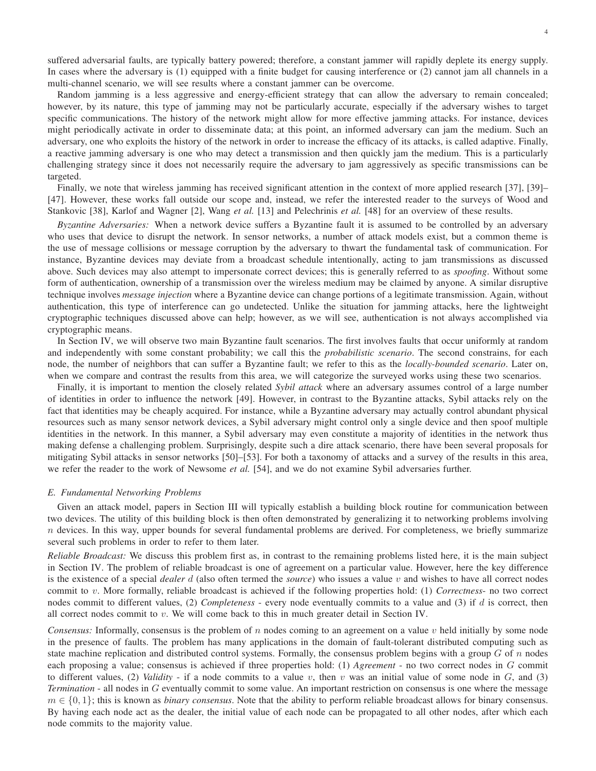suffered adversarial faults, are typically battery powered; therefore, a constant jammer will rapidly deplete its energy supply. In cases where the adversary is (1) equipped with a finite budget for causing interference or (2) cannot jam all channels in a multi-channel scenario, we will see results where a constant jammer can be overcome.

Random jamming is a less aggressive and energy-efficient strategy that can allow the adversary to remain concealed; however, by its nature, this type of jamming may not be particularly accurate, especially if the adversary wishes to target specific communications. The history of the network might allow for more effective jamming attacks. For instance, devices might periodically activate in order to disseminate data; at this point, an informed adversary can jam the medium. Such an adversary, one who exploits the history of the network in order to increase the efficacy of its attacks, is called adaptive. Finally, a reactive jamming adversary is one who may detect a transmission and then quickly jam the medium. This is a particularly challenging strategy since it does not necessarily require the adversary to jam aggressively as specific transmissions can be targeted.

Finally, we note that wireless jamming has received significant attention in the context of more applied research [37], [39]– [47]. However, these works fall outside our scope and, instead, we refer the interested reader to the surveys of Wood and Stankovic [38], Karlof and Wagner [2], Wang *et al.* [13] and Pelechrinis *et al.* [48] for an overview of these results.

*Byzantine Adversaries:* When a network device suffers a Byzantine fault it is assumed to be controlled by an adversary who uses that device to disrupt the network. In sensor networks, a number of attack models exist, but a common theme is the use of message collisions or message corruption by the adversary to thwart the fundamental task of communication. For instance, Byzantine devices may deviate from a broadcast schedule intentionally, acting to jam transmissions as discussed above. Such devices may also attempt to impersonate correct devices; this is generally referred to as *spoofing*. Without some form of authentication, ownership of a transmission over the wireless medium may be claimed by anyone. A similar disruptive technique involves *message injection* where a Byzantine device can change portions of a legitimate transmission. Again, without authentication, this type of interference can go undetected. Unlike the situation for jamming attacks, here the lightweight cryptographic techniques discussed above can help; however, as we will see, authentication is not always accomplished via cryptographic means.

In Section IV, we will observe two main Byzantine fault scenarios. The first involves faults that occur uniformly at random and independently with some constant probability; we call this the *probabilistic scenario*. The second constrains, for each node, the number of neighbors that can suffer a Byzantine fault; we refer to this as the *locally-bounded scenario*. Later on, when we compare and contrast the results from this area, we will categorize the surveyed works using these two scenarios.

Finally, it is important to mention the closely related *Sybil attack* where an adversary assumes control of a large number of identities in order to influence the network [49]. However, in contrast to the Byzantine attacks, Sybil attacks rely on the fact that identities may be cheaply acquired. For instance, while a Byzantine adversary may actually control abundant physical resources such as many sensor network devices, a Sybil adversary might control only a single device and then spoof multiple identities in the network. In this manner, a Sybil adversary may even constitute a majority of identities in the network thus making defense a challenging problem. Surprisingly, despite such a dire attack scenario, there have been several proposals for mitigating Sybil attacks in sensor networks [50]–[53]. For both a taxonomy of attacks and a survey of the results in this area, we refer the reader to the work of Newsome *et al.* [54], and we do not examine Sybil adversaries further.

#### *E. Fundamental Networking Problems*

Given an attack model, papers in Section III will typically establish a building block routine for communication between two devices. The utility of this building block is then often demonstrated by generalizing it to networking problems involving  $n$  devices. In this way, upper bounds for several fundamental problems are derived. For completeness, we briefly summarize several such problems in order to refer to them later.

*Reliable Broadcast:* We discuss this problem first as, in contrast to the remaining problems listed here, it is the main subject in Section IV. The problem of reliable broadcast is one of agreement on a particular value. However, here the key difference is the existence of a special *dealer* d (also often termed the *source*) who issues a value v and wishes to have all correct nodes commit to v. More formally, reliable broadcast is achieved if the following properties hold: (1) *Correctness*- no two correct nodes commit to different values, (2) *Completeness* - every node eventually commits to a value and (3) if d is correct, then all correct nodes commit to  $v$ . We will come back to this in much greater detail in Section IV.

*Consensus:* Informally, consensus is the problem of  $n$  nodes coming to an agreement on a value  $v$  held initially by some node in the presence of faults. The problem has many applications in the domain of fault-tolerant distributed computing such as state machine replication and distributed control systems. Formally, the consensus problem begins with a group  $G$  of  $n$  nodes each proposing a value; consensus is achieved if three properties hold: (1) *Agreement* - no two correct nodes in G commit to different values, (2) *Validity* - if a node commits to a value v, then v was an initial value of some node in  $G$ , and (3) *Termination* - all nodes in G eventually commit to some value. An important restriction on consensus is one where the message  $m \in \{0, 1\}$ ; this is known as *binary consensus*. Note that the ability to perform reliable broadcast allows for binary consensus. By having each node act as the dealer, the initial value of each node can be propagated to all other nodes, after which each node commits to the majority value.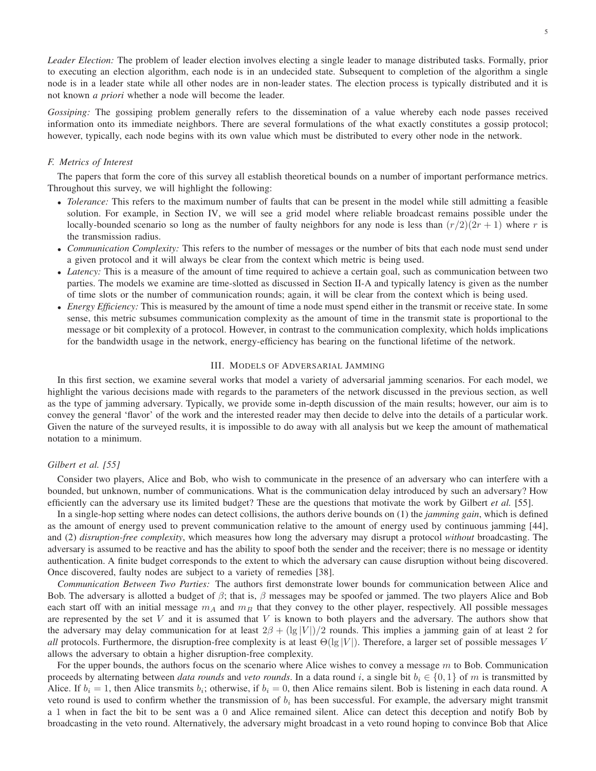*Leader Election:* The problem of leader election involves electing a single leader to manage distributed tasks. Formally, prior to executing an election algorithm, each node is in an undecided state. Subsequent to completion of the algorithm a single node is in a leader state while all other nodes are in non-leader states. The election process is typically distributed and it is not known *a priori* whether a node will become the leader.

*Gossiping:* The gossiping problem generally refers to the dissemination of a value whereby each node passes received information onto its immediate neighbors. There are several formulations of the what exactly constitutes a gossip protocol; however, typically, each node begins with its own value which must be distributed to every other node in the network.

## *F. Metrics of Interest*

The papers that form the core of this survey all establish theoretical bounds on a number of important performance metrics. Throughout this survey, we will highlight the following:

- *Tolerance:* This refers to the maximum number of faults that can be present in the model while still admitting a feasible solution. For example, in Section IV, we will see a grid model where reliable broadcast remains possible under the locally-bounded scenario so long as the number of faulty neighbors for any node is less than  $(r/2)(2r + 1)$  where r is the transmission radius.
- *Communication Complexity:* This refers to the number of messages or the number of bits that each node must send under a given protocol and it will always be clear from the context which metric is being used.
- *Latency:* This is a measure of the amount of time required to achieve a certain goal, such as communication between two parties. The models we examine are time-slotted as discussed in Section II-A and typically latency is given as the number of time slots or the number of communication rounds; again, it will be clear from the context which is being used.
- *Energy Efficiency:* This is measured by the amount of time a node must spend either in the transmit or receive state. In some sense, this metric subsumes communication complexity as the amount of time in the transmit state is proportional to the message or bit complexity of a protocol. However, in contrast to the communication complexity, which holds implications for the bandwidth usage in the network, energy-efficiency has bearing on the functional lifetime of the network.

## III. MODELS OF ADVERSARIAL JAMMING

In this first section, we examine several works that model a variety of adversarial jamming scenarios. For each model, we highlight the various decisions made with regards to the parameters of the network discussed in the previous section, as well as the type of jamming adversary. Typically, we provide some in-depth discussion of the main results; however, our aim is to convey the general 'flavor' of the work and the interested reader may then decide to delve into the details of a particular work. Given the nature of the surveyed results, it is impossible to do away with all analysis but we keep the amount of mathematical notation to a minimum.

## *Gilbert et al. [55]*

Consider two players, Alice and Bob, who wish to communicate in the presence of an adversary who can interfere with a bounded, but unknown, number of communications. What is the communication delay introduced by such an adversary? How efficiently can the adversary use its limited budget? These are the questions that motivate the work by Gilbert *et al.* [55].

In a single-hop setting where nodes can detect collisions, the authors derive bounds on (1) the *jamming gain*, which is defined as the amount of energy used to prevent communication relative to the amount of energy used by continuous jamming [44], and (2) *disruption-free complexity*, which measures how long the adversary may disrupt a protocol *without* broadcasting. The adversary is assumed to be reactive and has the ability to spoof both the sender and the receiver; there is no message or identity authentication. A finite budget corresponds to the extent to which the adversary can cause disruption without being discovered. Once discovered, faulty nodes are subject to a variety of remedies [38].

*Communication Between Two Parties:* The authors first demonstrate lower bounds for communication between Alice and Bob. The adversary is allotted a budget of  $\beta$ ; that is,  $\beta$  messages may be spoofed or jammed. The two players Alice and Bob each start off with an initial message  $m_A$  and  $m_B$  that they convey to the other player, respectively. All possible messages are represented by the set V and it is assumed that V is known to both players and the adversary. The authors show that the adversary may delay communication for at least  $2\beta + (\lg |V|)/2$  rounds. This implies a jamming gain of at least 2 for *all* protocols. Furthermore, the disruption-free complexity is at least  $\Theta(\lg |V|)$ . Therefore, a larger set of possible messages V allows the adversary to obtain a higher disruption-free complexity.

For the upper bounds, the authors focus on the scenario where Alice wishes to convey a message m to Bob. Communication proceeds by alternating between *data rounds* and *veto rounds*. In a data round i, a single bit  $b_i \in \{0,1\}$  of m is transmitted by Alice. If  $b_i = 1$ , then Alice transmits  $b_i$ ; otherwise, if  $b_i = 0$ , then Alice remains silent. Bob is listening in each data round. A veto round is used to confirm whether the transmission of  $b_i$  has been successful. For example, the adversary might transmit a 1 when in fact the bit to be sent was a 0 and Alice remained silent. Alice can detect this deception and notify Bob by broadcasting in the veto round. Alternatively, the adversary might broadcast in a veto round hoping to convince Bob that Alice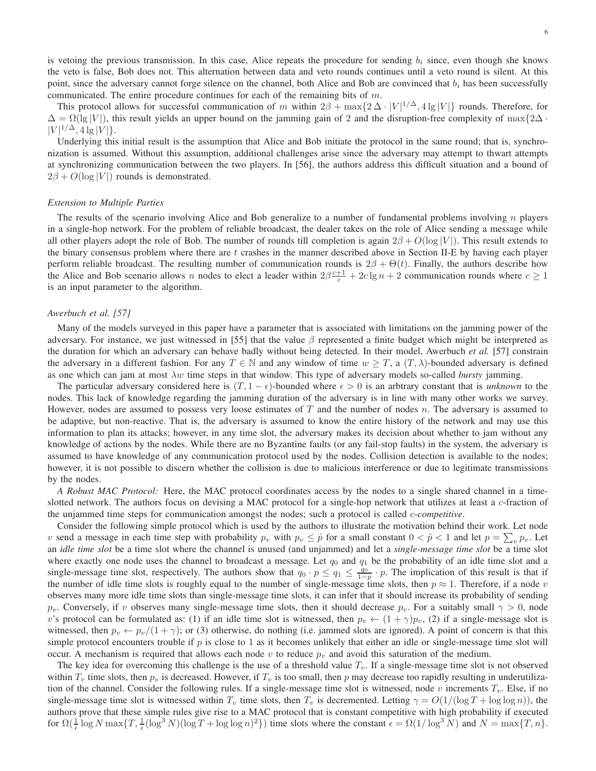is vetoing the previous transmission. In this case, Alice repeats the procedure for sending  $b_i$  since, even though she knows the veto is false, Bob does not. This alternation between data and veto rounds continues until a veto round is silent. At this point, since the adversary cannot forge silence on the channel, both Alice and Bob are convinced that  $b_i$  has been successfully communicated. The entire procedure continues for each of the remaining bits of  $m$ .

This protocol allows for successful communication of m within  $2\beta + \max\{2\Delta \cdot |V|^{1/\Delta}, 4\lg|V|\}$  rounds. Therefore, for  $\Delta = \Omega(|g|V|)$ , this result yields an upper bound on the jamming gain of 2 and the disruption-free complexity of max{2 $\Delta$  $|V|^{1/\Delta}, 4 \lg |V|$ .

Underlying this initial result is the assumption that Alice and Bob initiate the protocol in the same round; that is, synchronization is assumed. Without this assumption, additional challenges arise since the adversary may attempt to thwart attempts at synchronizing communication between the two players. In [56], the authors address this difficult situation and a bound of  $2\beta + O(\log |V|)$  rounds is demonstrated.

## *Extension to Multiple Parties*

The results of the scenario involving Alice and Bob generalize to a number of fundamental problems involving  $n$  players in a single-hop network. For the problem of reliable broadcast, the dealer takes on the role of Alice sending a message while all other players adopt the role of Bob. The number of rounds till completion is again  $2\beta + O(\log |V|)$ . This result extends to the binary consensus problem where there are  $t$  crashes in the manner described above in Section II-E by having each player perform reliable broadcast. The resulting number of communication rounds is  $2\beta + \Theta(t)$ . Finally, the authors describe how the Alice and Bob scenario allows n nodes to elect a leader within  $2\beta \frac{c+1}{c} + 2c \lg n + 2$  communication rounds where  $c \ge 1$ is an input parameter to the algorithm.

## *Awerbuch et al. [57]*

Many of the models surveyed in this paper have a parameter that is associated with limitations on the jamming power of the adversary. For instance, we just witnessed in [55] that the value  $\beta$  represented a finite budget which might be interpreted as the duration for which an adversary can behave badly without being detected. In their model, Awerbuch *et al.* [57] constrain the adversary in a different fashion. For any  $T \in \mathbb{N}$  and any window of time  $w \geq T$ , a  $(T, \lambda)$ -bounded adversary is defined as one which can jam at most  $\lambda w$  time steps in that window. This type of adversary models so-called *bursty* jamming.

The particular adversary considered here is  $(T, 1 - \epsilon)$ -bounded where  $\epsilon > 0$  is an arbtrary constant that is *unknown* to the nodes. This lack of knowledge regarding the jamming duration of the adversary is in line with many other works we survey. However, nodes are assumed to possess very loose estimates of  $T$  and the number of nodes  $n$ . The adversary is assumed to be adaptive, but non-reactive. That is, the adversary is assumed to know the entire history of the network and may use this information to plan its attacks; however, in any time slot, the adversary makes its decision about whether to jam without any knowledge of actions by the nodes. While there are no Byzantine faults (or any fail-stop faults) in the system, the adversary is assumed to have knowledge of any communication protocol used by the nodes. Collision detection is available to the nodes; however, it is not possible to discern whether the collision is due to malicious interference or due to legitimate transmissions by the nodes.

*A Robust MAC Protocol:* Here, the MAC protocol coordinates access by the nodes to a single shared channel in a timeslotted network. The authors focus on devising a MAC protocol for a single-hop network that utilizes at least a c-fraction of the unjammed time steps for communication amongst the nodes; such a protocol is called c-*competitive*.

Consider the following simple protocol which is used by the authors to illustrate the motivation behind their work. Let node v send a message in each time step with probability  $p_v$  with  $p_v \leq \hat{p}$  for a small constant  $0 < \hat{p} < 1$  and let  $p = \sum_v p_v$ . Let an *idle time slot* be a time slot where the channel is unused (and unjammed) and let a *single-message time slot* be a time slot where exactly one node uses the channel to broadcast a message. Let  $q_0$  and  $q_1$  be the probability of an idle time slot and a single-message time slot, respectively. The authors show that  $q_0 \cdot p \le q_1 \le \frac{q_0}{1-p} \cdot p$ . The implication of this result is that if the number of idle time slots is roughly equal to the number of single-message time slots, then  $p \approx 1$ . Therefore, if a node v observes many more idle time slots than single-message time slots, it can infer that it should increase its probability of sending  $p_v$ . Conversely, if v observes many single-message time slots, then it should decrease  $p_v$ . For a suitably small  $\gamma > 0$ , node v's protocol can be formulated as: (1) if an idle time slot is witnessed, then  $p_v \leftarrow (1 + \gamma)p_v$ , (2) if a single-message slot is witnessed, then  $p_v \leftarrow p_v/(1+\gamma)$ ; or (3) otherwise, do nothing (i.e. jammed slots are ignored). A point of concern is that this simple protocol encounters trouble if  $p$  is close to 1 as it becomes unlikely that either an idle or single-message time slot will occur. A mechanism is required that allows each node v to reduce  $p_v$  and avoid this saturation of the medium.

The key idea for overcoming this challenge is the use of a threshold value  $T_v$ . If a single-message time slot is not observed within  $T_v$  time slots, then  $p_v$  is decreased. However, if  $T_v$  is too small, then p may decrease too rapidly resulting in underutilization of the channel. Consider the following rules. If a single-message time slot is witnessed, node v increments  $T_v$ . Else, if no single-message time slot is witnessed within  $T_v$  time slots, then  $T_v$  is decremented. Letting  $\gamma = O(1/(\log T + \log \log n))$ , the authors prove that these simple rules give rise to a MAC protocol that is constant competitive with high probability if executed for  $\Omega(\frac{1}{\epsilon} \log N \max\{T, \frac{1}{\epsilon} (\log^3 N) (\log T + \log \log n)^2\})$  time slots where the constant  $\epsilon = \Omega(1/\log^3 N)$  and  $N = \max\{T, n\}$ .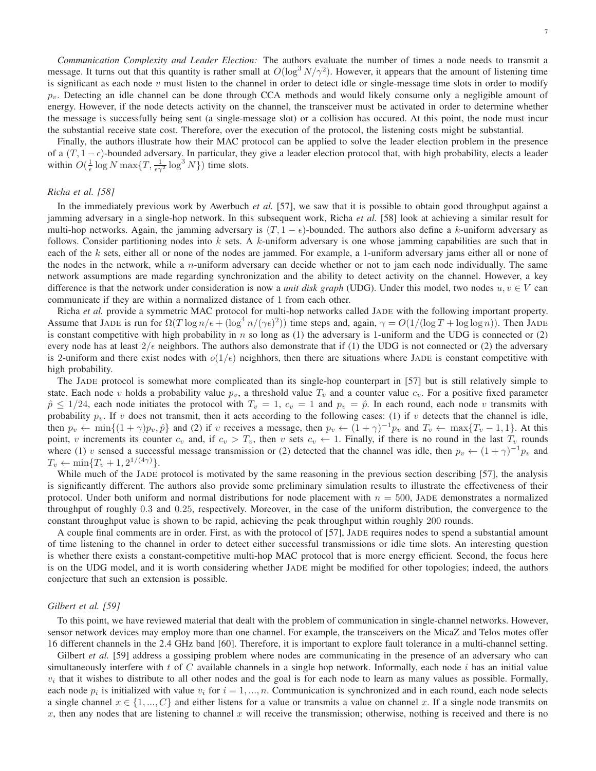7

*Communication Complexity and Leader Election:* The authors evaluate the number of times a node needs to transmit a message. It turns out that this quantity is rather small at  $O(\log^3 N/\gamma^2)$ . However, it appears that the amount of listening time is significant as each node  $v$  must listen to the channel in order to detect idle or single-message time slots in order to modify  $p_v$ . Detecting an idle channel can be done through CCA methods and would likely consume only a negligible amount of energy. However, if the node detects activity on the channel, the transceiver must be activated in order to determine whether the message is successfully being sent (a single-message slot) or a collision has occured. At this point, the node must incur the substantial receive state cost. Therefore, over the execution of the protocol, the listening costs might be substantial.

Finally, the authors illustrate how their MAC protocol can be applied to solve the leader election problem in the presence of a  $(T, 1 - \epsilon)$ -bounded adversary. In particular, they give a leader election protocol that, with high probability, elects a leader within  $O(\frac{1}{\epsilon} \log N \max\{T, \frac{1}{\epsilon \gamma^2} \log^3 N\})$  time slots.

# *Richa et al. [58]*

In the immediately previous work by Awerbuch *et al.* [57], we saw that it is possible to obtain good throughput against a jamming adversary in a single-hop network. In this subsequent work, Richa *et al.* [58] look at achieving a similar result for multi-hop networks. Again, the jamming adversary is  $(T, 1 - \epsilon)$ -bounded. The authors also define a k-uniform adversary as follows. Consider partitioning nodes into  $k$  sets. A  $k$ -uniform adversary is one whose jamming capabilities are such that in each of the k sets, either all or none of the nodes are jammed. For example, a 1-uniform adversary jams either all or none of the nodes in the network, while a *n*-uniform adversary can decide whether or not to jam each node individually. The same network assumptions are made regarding synchronization and the ability to detect activity on the channel. However, a key difference is that the network under consideration is now a *unit disk graph* (UDG). Under this model, two nodes  $u, v \in V$  can communicate if they are within a normalized distance of 1 from each other.

Richa *et al.* provide a symmetric MAC protocol for multi-hop networks called JADE with the following important property. Assume that JADE is run for  $\Omega(T \log n / \epsilon + (\log^4 n / (\gamma \epsilon)^2))$  time steps and, again,  $\gamma = O(1/(\log T + \log \log n))$ . Then JADE is constant competitive with high probability in n so long as (1) the adversary is 1-uniform and the UDG is connected or (2) every node has at least  $2/\epsilon$  neighbors. The authors also demonstrate that if (1) the UDG is not connected or (2) the adversary is 2-uniform and there exist nodes with  $o(1/\epsilon)$  neighhors, then there are situations where JADE is constant competitive with high probability.

The JADE protocol is somewhat more complicated than its single-hop counterpart in [57] but is still relatively simple to state. Each node v holds a probability value  $p_v$ , a threshold value  $T_v$  and a counter value  $c_v$ . For a positive fixed parameter  $\hat{p} \le 1/24$ , each node initiates the protocol with  $T_v = 1$ ,  $c_v = 1$  and  $p_v = \hat{p}$ . In each round, each node v transmits with probability  $p_v$ . If v does not transmit, then it acts according to the following cases: (1) if v detects that the channel is idle, then  $p_v \leftarrow \min\{(1+\gamma)p_v, \hat{p}\}\$ and (2) if v receives a message, then  $p_v \leftarrow (1+\gamma)^{-1}p_v$  and  $T_v \leftarrow \max\{T_v - 1, 1\}$ . At this point, v increments its counter  $c_v$  and, if  $c_v > T_v$ , then v sets  $c_v \leftarrow 1$ . Finally, if there is no round in the last  $T_v$  rounds where (1) v sensed a successful message transmission or (2) detected that the channel was idle, then  $p_v \leftarrow (1+\gamma)^{-1}p_v$  and  $T_v \leftarrow \min\{T_v + 1, 2^{1/(4\gamma)}\}.$ 

While much of the JADE protocol is motivated by the same reasoning in the previous section describing [57], the analysis is significantly different. The authors also provide some preliminary simulation results to illustrate the effectiveness of their protocol. Under both uniform and normal distributions for node placement with  $n = 500$ , JADE demonstrates a normalized throughput of roughly 0.3 and 0.25, respectively. Moreover, in the case of the uniform distribution, the convergence to the constant throughput value is shown to be rapid, achieving the peak throughput within roughly 200 rounds.

A couple final comments are in order. First, as with the protocol of [57], JADE requires nodes to spend a substantial amount of time listening to the channel in order to detect either successful transmissions or idle time slots. An interesting question is whether there exists a constant-competitive multi-hop MAC protocol that is more energy efficient. Second, the focus here is on the UDG model, and it is worth considering whether JADE might be modified for other topologies; indeed, the authors conjecture that such an extension is possible.

#### *Gilbert et al. [59]*

To this point, we have reviewed material that dealt with the problem of communication in single-channel networks. However, sensor network devices may employ more than one channel. For example, the transceivers on the MicaZ and Telos motes offer 16 different channels in the 2.4 GHz band [60]. Therefore, it is important to explore fault tolerance in a multi-channel setting.

Gilbert *et al.* [59] address a gossiping problem where nodes are communicating in the presence of an adversary who can simultaneously interfere with t of C available channels in a single hop network. Informally, each node i has an initial value  $v_i$  that it wishes to distribute to all other nodes and the goal is for each node to learn as many values as possible. Formally, each node  $p_i$  is initialized with value  $v_i$  for  $i = 1, ..., n$ . Communication is synchronized and in each round, each node selects a single channel  $x \in \{1, ..., C\}$  and either listens for a value or transmits a value on channel x. If a single node transmits on x, then any nodes that are listening to channel x will receive the transmission; otherwise, nothing is received and there is no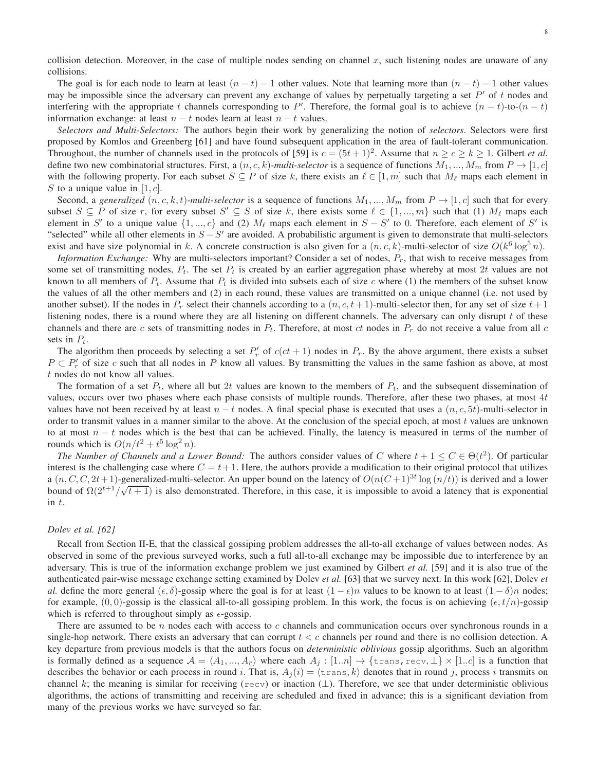collision detection. Moreover, in the case of multiple nodes sending on channel  $x$ , such listening nodes are unaware of any collisions.

The goal is for each node to learn at least  $(n - t) - 1$  other values. Note that learning more than  $(n - t) - 1$  other values may be impossible since the adversary can prevent any exchange of values by perpetually targeting a set  $P'$  of t nodes and interfering with the appropriate t channels corresponding to P'. Therefore, the formal goal is to achieve  $(n - t)$ -to- $(n - t)$ information exchange: at least  $n - t$  nodes learn at least  $n - t$  values.

*Selectors and Multi-Selectors:* The authors begin their work by generalizing the notion of *selectors*. Selectors were first proposed by Komlos and Greenberg [61] and have found subsequent application in the area of fault-tolerant communication. Throughout, the number of channels used in the protocols of [59] is  $c = (5t + 1)^2$ . Assume that  $n \ge c \ge k \ge 1$ . Gilbert *et al.* define two new combinatorial structures. First, a  $(n, c, k)$ -multi-selector is a sequence of functions  $M_1, ..., M_m$  from  $P \to [1, c]$ with the following property. For each subset  $S \subseteq P$  of size k, there exists an  $\ell \in [1, m]$  such that  $M_{\ell}$  maps each element in S to a unique value in  $[1, c]$ .

Second, a *generalized*  $(n, c, k, t)$ *-multi-selector* is a sequence of functions  $M_1, ..., M_m$  from  $P \rightarrow [1, c]$  such that for every subset  $S \subseteq P$  of size r, for every subset  $S' \subseteq S$  of size k, there exists some  $\ell \in \{1, ..., m\}$  such that (1)  $M_{\ell}$  maps each element in S' to a unique value  $\{1, ..., c\}$  and (2)  $M_{\ell}$  maps each element in  $S - S'$  to 0. Therefore, each element of S' is "selected" while all other elements in  $S - S'$  are avoided. A probabilistic argument is given to demonstrate that multi-selectors exist and have size polynomial in k. A concrete construction is also given for a  $(n, c, k)$ -multi-selector of size  $O(k^6 \log^5 n)$ .

*Information Exchange:* Why are multi-selectors important? Consider a set of nodes,  $P_r$ , that wish to receive messages from some set of transmitting nodes,  $P_t$ . The set  $P_t$  is created by an earlier aggregation phase whereby at most 2t values are not known to all members of  $P_t$ . Assume that  $P_t$  is divided into subsets each of size c where (1) the members of the subset know the values of all the other members and (2) in each round, these values are transmitted on a unique channel (i.e. not used by another subset). If the nodes in  $P_r$  select their channels according to a  $(n, c, t+1)$ -multi-selector then, for any set of size  $t+1$ listening nodes, there is a round where they are all listening on different channels. The adversary can only disrupt  $t$  of these channels and there are c sets of transmitting nodes in  $P_t$ . Therefore, at most ct nodes in  $P_r$  do not receive a value from all c sets in  $P_t$ .

The algorithm then proceeds by selecting a set  $P'_r$  of  $c(ct + 1)$  nodes in  $P_r$ . By the above argument, there exists a subset  $P \subset P'_r$  of size c such that all nodes in P know all values. By transmitting the values in the same fashion as above, at most t nodes do not know all values.

The formation of a set  $P_t$ , where all but 2t values are known to the members of  $P_t$ , and the subsequent dissemination of values, occurs over two phases where each phase consists of multiple rounds. Therefore, after these two phases, at most 4t values have not been received by at least  $n - t$  nodes. A final special phase is executed that uses a  $(n, c, 5t)$ -multi-selector in order to transmit values in a manner similar to the above. At the conclusion of the special epoch, at most  $t$  values are unknown to at most  $n - t$  nodes which is the best that can be achieved. Finally, the latency is measured in terms of the number of rounds which is  $O(n/t^2 + t^5 \log^2 n)$ .

*The Number of Channels and a Lower Bound:* The authors consider values of C where  $t + 1 \le C \in \Theta(t^2)$ . Of particular interest is the challenging case where  $C = t + 1$ . Here, the authors provide a modification to their original protocol that utilizes a  $(n, C, C, 2t+1)$ -generalized-multi-selector. An upper bound on the latency of  $O(n(C+1)^{3t} \log(n/t))$  is derived and a lower bound of  $\Omega(2^{t+1}/\sqrt{t+1})$  is also demonstrated. Therefore, in this case, it is impossible to avoid a latency that is exponential in t.

# *Dolev et al. [62]*

Recall from Section II-E, that the classical gossiping problem addresses the all-to-all exchange of values between nodes. As observed in some of the previous surveyed works, such a full all-to-all exchange may be impossible due to interference by an adversary. This is true of the information exchange problem we just examined by Gilbert *et al.* [59] and it is also true of the authenticated pair-wise message exchange setting examined by Dolev *et al.* [63] that we survey next. In this work [62], Dolev *et al.* define the more general  $(\epsilon, \delta)$ -gossip where the goal is for at least  $(1 - \epsilon)n$  values to be known to at least  $(1 - \delta)n$  nodes; for example,  $(0, 0)$ -gossip is the classical all-to-all gossiping problem. In this work, the focus is on achieving  $(\epsilon, t/n)$ -gossip which is referred to throughout simply as  $\epsilon$ -gossip.

There are assumed to be  $n$  nodes each with access to  $c$  channels and communication occurs over synchronous rounds in a single-hop network. There exists an adversary that can corrupt  $t < c$  channels per round and there is no collision detection. A key departure from previous models is that the authors focus on *deterministic oblivious* gossip algorithms. Such an algorithm is formally defined as a sequence  $\mathcal{A} = \langle A_1, ..., A_r \rangle$  where each  $A_j : [1..n] \to \{\text{trans},\text{recv}, \perp\} \times [1..c]$  is a function that describes the behavior or each process in round i. That is,  $A_i(i) = \langle \text{trans}, k \rangle$  denotes that in round j, process i transmits on channel k; the meaning is similar for receiving (recv) or inaction  $(\perp)$ . Therefore, we see that under deterministic oblivious algorithms, the actions of transmitting and receiving are scheduled and fixed in advance; this is a significant deviation from many of the previous works we have surveyed so far.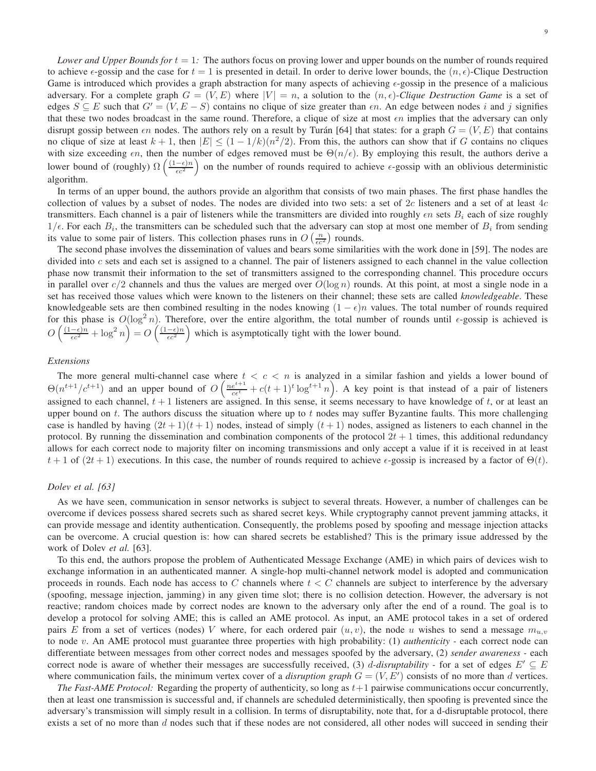*Lower and Upper Bounds for*  $t = 1$ : The authors focus on proving lower and upper bounds on the number of rounds required to achieve  $\epsilon$ -gossip and the case for  $t = 1$  is presented in detail. In order to derive lower bounds, the  $(n, \epsilon)$ -Clique Destruction Game is introduced which provides a graph abstraction for many aspects of achieving  $\epsilon$ -gossip in the presence of a malicious adversary. For a complete graph  $G = (V, E)$  where  $|V| = n$ , a solution to the  $(n, \epsilon)$ -*Clique Destruction Game* is a set of edges  $S \subseteq E$  such that  $G' = (V, E - S)$  contains no clique of size greater than  $\epsilon n$ . An edge between nodes i and j signifies that these two nodes broadcast in the same round. Therefore, a clique of size at most  $\epsilon n$  implies that the adversary can only disrupt gossip between  $\epsilon n$  nodes. The authors rely on a result by Turán [64] that states: for a graph  $G = (V, E)$  that contains no clique of size at least  $k + 1$ , then  $|E| \le (1 - 1/k)(n^2/2)$ . From this, the authors can show that if G contains no cliques with size exceeding  $\epsilon n$ , then the number of edges removed must be  $\Theta(n/\epsilon)$ . By employing this result, the authors derive a lower bound of (roughly)  $\Omega\left(\frac{(1-\epsilon)n}{\epsilon c^2}\right)$  on the number of rounds required to achieve  $\epsilon$ -gossip with an oblivious deterministic algorithm.

In terms of an upper bound, the authors provide an algorithm that consists of two main phases. The first phase handles the collection of values by a subset of nodes. The nodes are divided into two sets: a set of  $2c$  listeners and a set of at least  $4c$ transmitters. Each channel is a pair of listeners while the transmitters are divided into roughly  $\epsilon n$  sets  $B_i$  each of size roughly  $1/\epsilon$ . For each  $B_i$ , the transmitters can be scheduled such that the adversary can stop at most one member of  $B_i$  from sending its value to some pair of listers. This collection phases runs in  $O\left(\frac{n}{\epsilon c^2}\right)$  rounds.

The second phase involves the dissemination of values and bears some similarities with the work done in [59]. The nodes are divided into  $c$  sets and each set is assigned to a channel. The pair of listeners assigned to each channel in the value collection phase now transmit their information to the set of transmitters assigned to the corresponding channel. This procedure occurs in parallel over  $c/2$  channels and thus the values are merged over  $O(\log n)$  rounds. At this point, at most a single node in a set has received those values which were known to the listeners on their channel; these sets are called *knowledgeable*. These knowledgeable sets are then combined resulting in the nodes knowing  $(1 - \epsilon)n$  values. The total number of rounds required for this phase is  $O(\log^2 n)$ . Therefore, over the entire algorithm, the total number of rounds until  $\epsilon$ -gossip is achieved is  $O\left(\frac{(1-\epsilon)n}{\epsilon c^2} + \log^2 n\right) = O\left(\frac{(1-\epsilon)n}{\epsilon c^2}\right)$  which is asymptotically tight with the lower bound.

#### *Extensions*

The more general multi-channel case where  $t < c < n$  is analyzed in a similar fashion and yields a lower bound of  $\Theta(n^{t+1}/c^{t+1})$  and an upper bound of  $O\left(\frac{ne^{t+1}}{c\epsilon^t} + c(t+1)^t \log^{t+1} n\right)$ . A key point is that instead of a pair of listeners assigned to each channel,  $t + 1$  listeners are assigned. In this sense, it seems necessary to have knowledge of t, or at least an upper bound on  $t$ . The authors discuss the situation where up to  $t$  nodes may suffer Byzantine faults. This more challenging case is handled by having  $(2t + 1)(t + 1)$  nodes, instead of simply  $(t + 1)$  nodes, assigned as listeners to each channel in the protocol. By running the dissemination and combination components of the protocol  $2t + 1$  times, this additional redundancy allows for each correct node to majority filter on incoming transmissions and only accept a value if it is received in at least  $t + 1$  of  $(2t + 1)$  executions. In this case, the number of rounds required to achieve  $\epsilon$ -gossip is increased by a factor of  $\Theta(t)$ .

## *Dolev et al. [63]*

As we have seen, communication in sensor networks is subject to several threats. However, a number of challenges can be overcome if devices possess shared secrets such as shared secret keys. While cryptography cannot prevent jamming attacks, it can provide message and identity authentication. Consequently, the problems posed by spoofing and message injection attacks can be overcome. A crucial question is: how can shared secrets be established? This is the primary issue addressed by the work of Dolev *et al.* [63].

To this end, the authors propose the problem of Authenticated Message Exchange (AME) in which pairs of devices wish to exchange information in an authenticated manner. A single-hop multi-channel network model is adopted and communication proceeds in rounds. Each node has access to C channels where  $t < C$  channels are subject to interference by the adversary (spoofing, message injection, jamming) in any given time slot; there is no collision detection. However, the adversary is not reactive; random choices made by correct nodes are known to the adversary only after the end of a round. The goal is to develop a protocol for solving AME; this is called an AME protocol. As input, an AME protocol takes in a set of ordered pairs E from a set of vertices (nodes) V where, for each ordered pair  $(u, v)$ , the node u wishes to send a message  $m_{u,v}$ to node v. An AME protocol must guarantee three properties with high probability: (1) *authenticity -* each correct node can differentiate between messages from other correct nodes and messages spoofed by the adversary, (2) *sender awareness -* each correct node is aware of whether their messages are successfully received, (3) d-disruptability - for a set of edges  $E' \subseteq E$ where communication fails, the minimum vertex cover of a *disruption graph*  $G = (V, E')$  consists of no more than d vertices.

*The Fast-AME Protocol:* Regarding the property of authenticity, so long as  $t+1$  pairwise communications occur concurrently, then at least one transmission is successful and, if channels are scheduled deterministically, then spoofing is prevented since the adversary's transmission will simply result in a collision. In terms of disruptability, note that, for a d-disruptable protocol, there exists a set of no more than d nodes such that if these nodes are not considered, all other nodes will succeed in sending their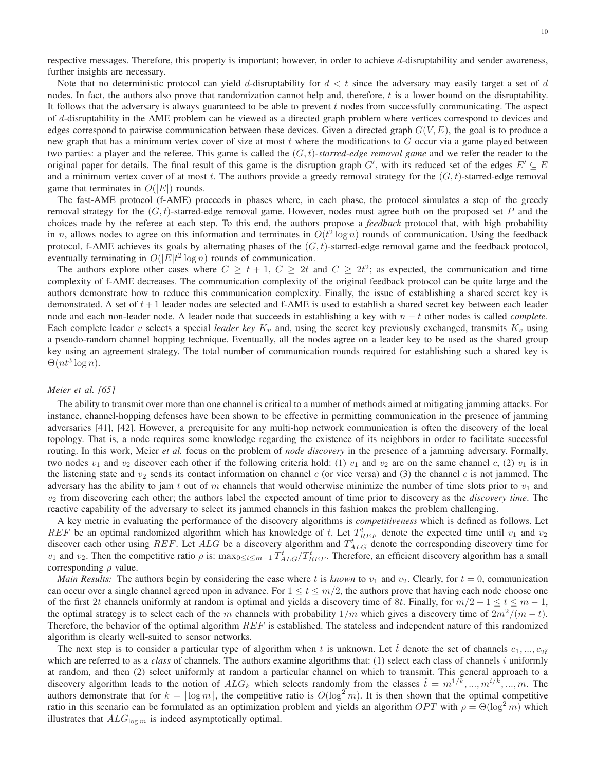Note that no deterministic protocol can yield d-disruptability for  $d < t$  since the adversary may easily target a set of d nodes. In fact, the authors also prove that randomization cannot help and, therefore,  $t$  is a lower bound on the disruptability. It follows that the adversary is always guaranteed to be able to prevent  $t$  nodes from successfully communicating. The aspect of d-disruptability in the AME problem can be viewed as a directed graph problem where vertices correspond to devices and edges correspond to pairwise communication between these devices. Given a directed graph  $G(V, E)$ , the goal is to produce a new graph that has a minimum vertex cover of size at most  $t$  where the modifications to  $G$  occur via a game played between two parties: a player and the referee. This game is called the (G, t)*-starred-edge removal game* and we refer the reader to the original paper for details. The final result of this game is the disruption graph G', with its reduced set of the edges  $E' \subseteq E$ and a minimum vertex cover of at most t. The authors provide a greedy removal strategy for the  $(G, t)$ -starred-edge removal game that terminates in  $O(|E|)$  rounds.

The fast-AME protocol (f-AME) proceeds in phases where, in each phase, the protocol simulates a step of the greedy removal strategy for the  $(G, t)$ -starred-edge removal game. However, nodes must agree both on the proposed set P and the choices made by the referee at each step. To this end, the authors propose a *feedback* protocol that, with high probability in n, allows nodes to agree on this information and terminates in  $O(t^2 \log n)$  rounds of communication. Using the feedback protocol, f-AME achieves its goals by alternating phases of the  $(G, t)$ -starred-edge removal game and the feedback protocol, eventually terminating in  $O(|E|t^2 \log n)$  rounds of communication.

The authors explore other cases where  $C \geq t + 1$ ,  $C \geq 2t$  and  $C \geq 2t^2$ ; as expected, the communication and time complexity of f-AME decreases. The communication complexity of the original feedback protocol can be quite large and the authors demonstrate how to reduce this communication complexity. Finally, the issue of establishing a shared secret key is demonstrated. A set of  $t + 1$  leader nodes are selected and f-AME is used to establish a shared secret key between each leader node and each non-leader node. A leader node that succeeds in establishing a key with n − t other nodes is called *complete*. Each complete leader v selects a special *leader key*  $K_v$  and, using the secret key previously exchanged, transmits  $K_v$  using a pseudo-random channel hopping technique. Eventually, all the nodes agree on a leader key to be used as the shared group key using an agreement strategy. The total number of communication rounds required for establishing such a shared key is  $\Theta(nt^3 \log n).$ 

## *Meier et al. [65]*

The ability to transmit over more than one channel is critical to a number of methods aimed at mitigating jamming attacks. For instance, channel-hopping defenses have been shown to be effective in permitting communication in the presence of jamming adversaries [41], [42]. However, a prerequisite for any multi-hop network communication is often the discovery of the local topology. That is, a node requires some knowledge regarding the existence of its neighbors in order to facilitate successful routing. In this work, Meier *et al.* focus on the problem of *node discovery* in the presence of a jamming adversary. Formally, two nodes  $v_1$  and  $v_2$  discover each other if the following criteria hold: (1)  $v_1$  and  $v_2$  are on the same channel c, (2)  $v_1$  is in the listening state and  $v_2$  sends its contact information on channel c (or vice versa) and (3) the channel c is not jammed. The adversary has the ability to jam t out of m channels that would otherwise minimize the number of time slots prior to  $v_1$  and v<sup>2</sup> from discovering each other; the authors label the expected amount of time prior to discovery as the *discovery time*. The reactive capability of the adversary to select its jammed channels in this fashion makes the problem challenging.

A key metric in evaluating the performance of the discovery algorithms is *competitiveness* which is defined as follows. Let REF be an optimal randomized algorithm which has knowledge of t. Let  $T_{REF}^t$  denote the expected time until  $v_1$  and  $v_2$ discover each other using REF. Let ALG be a discovery algorithm and  $T_{ALG}^t$  denote the corresponding discovery time for  $v_1$  and  $v_2$ . Then the competitive ratio  $\rho$  is:  $\max_{0 \le t \le m-1} T_{ALG}^t / T_{REF}^t$ . Therefore, an efficient discovery algorithm has a small corresponding  $\rho$  value.

*Main Results:* The authors begin by considering the case where t is *known* to  $v_1$  and  $v_2$ . Clearly, for  $t = 0$ , communication can occur over a single channel agreed upon in advance. For  $1 \le t \le m/2$ , the authors prove that having each node choose one of the first 2t channels uniformly at random is optimal and yields a discovery time of 8t. Finally, for  $m/2 + 1 \le t \le m - 1$ , the optimal strategy is to select each of the m channels with probability  $1/m$  which gives a discovery time of  $2m^2/(m-t)$ . Therefore, the behavior of the optimal algorithm  $REF$  is established. The stateless and independent nature of this randomized algorithm is clearly well-suited to sensor networks.

The next step is to consider a particular type of algorithm when t is unknown. Let the set of channels  $c_1, ..., c_{2i}$ which are referred to as a *class* of channels. The authors examine algorithms that: (1) select each class of channels i uniformly at random, and then (2) select uniformly at random a particular channel on which to transmit. This general approach to a discovery algorithm leads to the notion of  $ALG_k$  which selects randomly from the classes  $\hat{t} = m^{1/k}, ..., m^{i/k}, ..., m$ . The authors demonstrate that for  $k = \lfloor \log m \rfloor$ , the competitive ratio is  $O(\log^2 m)$ . It is then shown that the optimal competitive ratio in this scenario can be formulated as an optimization problem and yields an algorithm  $OPT$  with  $\rho = \Theta(\log^2 m)$  which illustrates that  $ALG_{\log m}$  is indeed asymptotically optimal.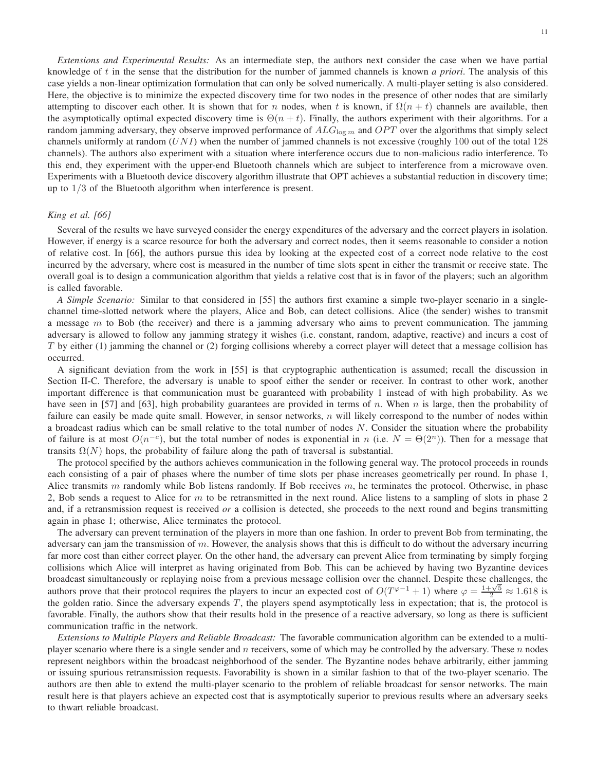*Extensions and Experimental Results:* As an intermediate step, the authors next consider the case when we have partial knowledge of t in the sense that the distribution for the number of jammed channels is known *a priori*. The analysis of this case yields a non-linear optimization formulation that can only be solved numerically. A multi-player setting is also considered. Here, the objective is to minimize the expected discovery time for two nodes in the presence of other nodes that are similarly attempting to discover each other. It is shown that for n nodes, when t is known, if  $\Omega(n + t)$  channels are available, then the asymptotically optimal expected discovery time is  $\Theta(n + t)$ . Finally, the authors experiment with their algorithms. For a random jamming adversary, they observe improved performance of  $ALG_{\log m}$  and  $OPT$  over the algorithms that simply select channels uniformly at random  $(UNI)$  when the number of jammed channels is not excessive (roughly 100 out of the total 128 channels). The authors also experiment with a situation where interference occurs due to non-malicious radio interference. To this end, they experiment with the upper-end Bluetooth channels which are subject to interference from a microwave oven. Experiments with a Bluetooth device discovery algorithm illustrate that OPT achieves a substantial reduction in discovery time; up to 1/3 of the Bluetooth algorithm when interference is present.

# *King et al. [66]*

Several of the results we have surveyed consider the energy expenditures of the adversary and the correct players in isolation. However, if energy is a scarce resource for both the adversary and correct nodes, then it seems reasonable to consider a notion of relative cost. In [66], the authors pursue this idea by looking at the expected cost of a correct node relative to the cost incurred by the adversary, where cost is measured in the number of time slots spent in either the transmit or receive state. The overall goal is to design a communication algorithm that yields a relative cost that is in favor of the players; such an algorithm is called favorable.

*A Simple Scenario:* Similar to that considered in [55] the authors first examine a simple two-player scenario in a singlechannel time-slotted network where the players, Alice and Bob, can detect collisions. Alice (the sender) wishes to transmit a message  $m$  to Bob (the receiver) and there is a jamming adversary who aims to prevent communication. The jamming adversary is allowed to follow any jamming strategy it wishes (i.e. constant, random, adaptive, reactive) and incurs a cost of T by either  $(1)$  jamming the channel or  $(2)$  forging collisions whereby a correct player will detect that a message collision has occurred.

A significant deviation from the work in [55] is that cryptographic authentication is assumed; recall the discussion in Section II-C. Therefore, the adversary is unable to spoof either the sender or receiver. In contrast to other work, another important difference is that communication must be guaranteed with probability 1 instead of with high probability. As we have seen in [57] and [63], high probability guarantees are provided in terms of n. When n is large, then the probability of failure can easily be made quite small. However, in sensor networks,  $n$  will likely correspond to the number of nodes within a broadcast radius which can be small relative to the total number of nodes  $N$ . Consider the situation where the probability of failure is at most  $O(n^{-c})$ , but the total number of nodes is exponential in n (i.e.  $N = \Theta(2^n)$ ). Then for a message that transits  $\Omega(N)$  hops, the probability of failure along the path of traversal is substantial.

The protocol specified by the authors achieves communication in the following general way. The protocol proceeds in rounds each consisting of a pair of phases where the number of time slots per phase increases geometrically per round. In phase 1, Alice transmits  $m$  randomly while Bob listens randomly. If Bob receives  $m$ , he terminates the protocol. Otherwise, in phase 2, Bob sends a request to Alice for  $m$  to be retransmitted in the next round. Alice listens to a sampling of slots in phase 2 and, if a retransmission request is received *or* a collision is detected, she proceeds to the next round and begins transmitting again in phase 1; otherwise, Alice terminates the protocol.

The adversary can prevent termination of the players in more than one fashion. In order to prevent Bob from terminating, the adversary can jam the transmission of  $m$ . However, the analysis shows that this is difficult to do without the adversary incurring far more cost than either correct player. On the other hand, the adversary can prevent Alice from terminating by simply forging collisions which Alice will interpret as having originated from Bob. This can be achieved by having two Byzantine devices broadcast simultaneously or replaying noise from a previous message collision over the channel. Despite these challenges, the authors prove that their protocol requires the players to incur an expected cost of  $O(T^{\varphi-1}+1)$  where  $\varphi = \frac{1+\sqrt{5}}{2} \approx 1.618$  is the golden ratio. Since the adversary expends  $T$ , the players spend asymptotically less in expectation; that is, the protocol is favorable. Finally, the authors show that their results hold in the presence of a reactive adversary, so long as there is sufficient communication traffic in the network.

*Extensions to Multiple Players and Reliable Broadcast:* The favorable communication algorithm can be extended to a multiplayer scenario where there is a single sender and n receivers, some of which may be controlled by the adversary. These n nodes represent neighbors within the broadcast neighborhood of the sender. The Byzantine nodes behave arbitrarily, either jamming or issuing spurious retransmission requests. Favorability is shown in a similar fashion to that of the two-player scenario. The authors are then able to extend the multi-player scenario to the problem of reliable broadcast for sensor networks. The main result here is that players achieve an expected cost that is asymptotically superior to previous results where an adversary seeks to thwart reliable broadcast.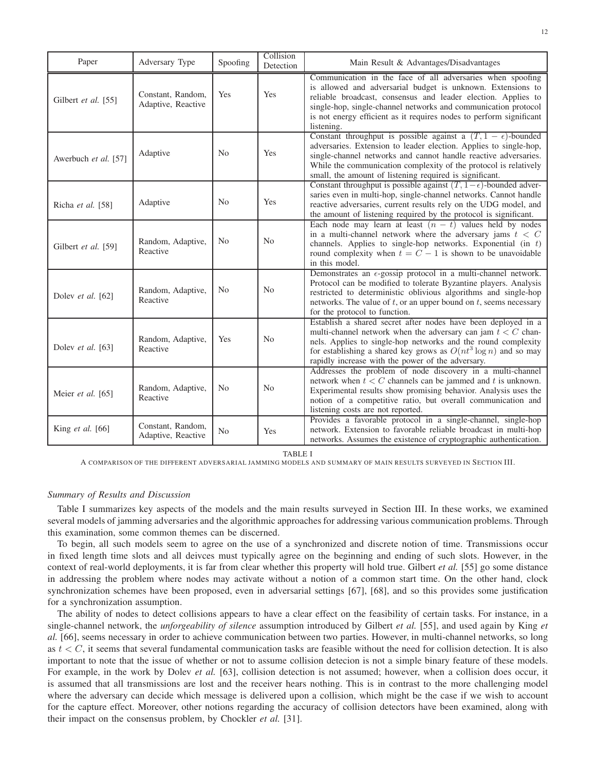| Paper                | Adversary Type                          | Spoofing       | Collision<br>Detection | Main Result & Advantages/Disadvantages                                                                                                                                                                                                                                                                                                            |
|----------------------|-----------------------------------------|----------------|------------------------|---------------------------------------------------------------------------------------------------------------------------------------------------------------------------------------------------------------------------------------------------------------------------------------------------------------------------------------------------|
| Gilbert et al. [55]  | Constant, Random,<br>Adaptive, Reactive | Yes            | Yes                    | Communication in the face of all adversaries when spoofing<br>is allowed and adversarial budget is unknown. Extensions to<br>reliable broadcast, consensus and leader election. Applies to<br>single-hop, single-channel networks and communication protocol<br>is not energy efficient as it requires nodes to perform significant<br>listening. |
| Awerbuch et al. [57] | Adaptive                                | N <sub>0</sub> | Yes                    | Constant throughput is possible against a $(T, 1 - \epsilon)$ -bounded<br>adversaries. Extension to leader election. Applies to single-hop,<br>single-channel networks and cannot handle reactive adversaries.<br>While the communication complexity of the protocol is relatively<br>small, the amount of listening required is significant.     |
| Richa et al. [58]    | Adaptive                                | N <sub>0</sub> | Yes                    | Constant throughput is possible against $(T, 1-\epsilon)$ -bounded adver-<br>saries even in multi-hop, single-channel networks. Cannot handle<br>reactive adversaries, current results rely on the UDG model, and<br>the amount of listening required by the protocol is significant.                                                             |
| Gilbert et al. [59]  | Random, Adaptive,<br>Reactive           | N <sub>0</sub> | N <sub>0</sub>         | Each node may learn at least $(n - t)$ values held by nodes<br>in a multi-channel network where the adversary jams $t < C$<br>channels. Applies to single-hop networks. Exponential (in $t$ )<br>round complexity when $t = C - 1$ is shown to be unavoidable<br>in this model.                                                                   |
| Dolev et al. [62]    | Random, Adaptive,<br>Reactive           | N <sub>0</sub> | N <sub>0</sub>         | Demonstrates an $\epsilon$ -gossip protocol in a multi-channel network.<br>Protocol can be modified to tolerate Byzantine players. Analysis<br>restricted to deterministic oblivious algorithms and single-hop<br>networks. The value of $t$ , or an upper bound on $t$ , seems necessary<br>for the protocol to function.                        |
| Dolev et al. [63]    | Random, Adaptive,<br>Reactive           | Yes            | N <sub>0</sub>         | Establish a shared secret after nodes have been deployed in a<br>multi-channel network when the adversary can jam $t < C$ chan-<br>nels. Applies to single-hop networks and the round complexity<br>for establishing a shared key grows as $O(nt^3 \log n)$ and so may<br>rapidly increase with the power of the adversary.                       |
| Meier et al. [65]    | Random, Adaptive,<br>Reactive           | N <sub>0</sub> | N <sub>0</sub>         | Addresses the problem of node discovery in a multi-channel<br>network when $t < C$ channels can be jammed and t is unknown.<br>Experimental results show promising behavior. Analysis uses the<br>notion of a competitive ratio, but overall communication and<br>listening costs are not reported.                                               |
| King et al. [66]     | Constant, Random,<br>Adaptive, Reactive | N <sub>o</sub> | Yes                    | Provides a favorable protocol in a single-channel, single-hop<br>network. Extension to favorable reliable broadcast in multi-hop<br>networks. Assumes the existence of cryptographic authentication.                                                                                                                                              |

TABLE I

A COMPARISON OF THE DIFFERENT ADVERSARIAL JAMMING MODELS AND SUMMARY OF MAIN RESULTS SURVEYED IN SECTION III.

## *Summary of Results and Discussion*

Table I summarizes key aspects of the models and the main results surveyed in Section III. In these works, we examined several models of jamming adversaries and the algorithmic approaches for addressing various communication problems. Through this examination, some common themes can be discerned.

To begin, all such models seem to agree on the use of a synchronized and discrete notion of time. Transmissions occur in fixed length time slots and all deivces must typically agree on the beginning and ending of such slots. However, in the context of real-world deployments, it is far from clear whether this property will hold true. Gilbert *et al.* [55] go some distance in addressing the problem where nodes may activate without a notion of a common start time. On the other hand, clock synchronization schemes have been proposed, even in adversarial settings [67], [68], and so this provides some justification for a synchronization assumption.

The ability of nodes to detect collisions appears to have a clear effect on the feasibility of certain tasks. For instance, in a single-channel network, the *unforgeability of silence* assumption introduced by Gilbert *et al.* [55], and used again by King *et al.* [66], seems necessary in order to achieve communication between two parties. However, in multi-channel networks, so long as  $t < C$ , it seems that several fundamental communication tasks are feasible without the need for collision detection. It is also important to note that the issue of whether or not to assume collision detecion is not a simple binary feature of these models. For example, in the work by Dolev *et al.* [63], collision detection is not assumed; however, when a collision does occur, it is assumed that all transmissions are lost and the receiver hears nothing. This is in contrast to the more challenging model where the adversary can decide which message is delivered upon a collision, which might be the case if we wish to account for the capture effect. Moreover, other notions regarding the accuracy of collision detectors have been examined, along with their impact on the consensus problem, by Chockler *et al.* [31].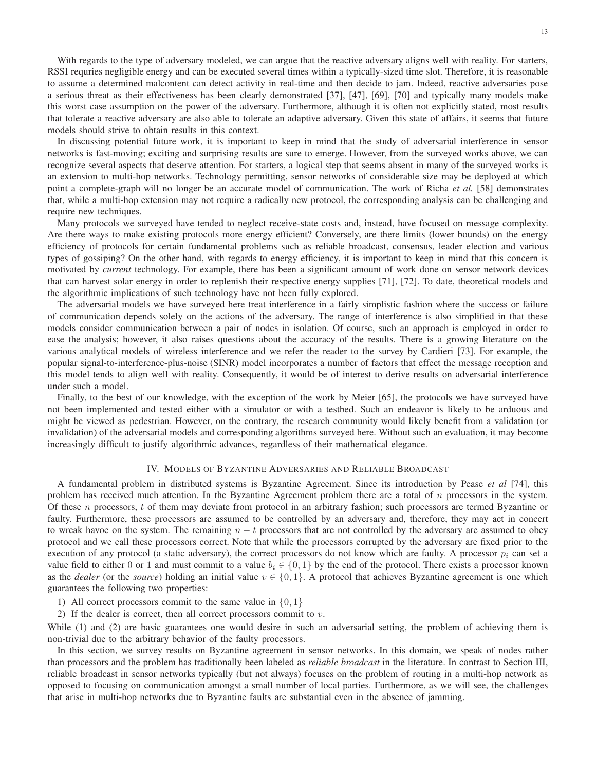With regards to the type of adversary modeled, we can argue that the reactive adversary aligns well with reality. For starters, RSSI requries negligible energy and can be executed several times within a typically-sized time slot. Therefore, it is reasonable to assume a determined malcontent can detect activity in real-time and then decide to jam. Indeed, reactive adversaries pose a serious threat as their effectiveness has been clearly demonstrated [37], [47], [69], [70] and typically many models make this worst case assumption on the power of the adversary. Furthermore, although it is often not explicitly stated, most results that tolerate a reactive adversary are also able to tolerate an adaptive adversary. Given this state of affairs, it seems that future models should strive to obtain results in this context.

In discussing potential future work, it is important to keep in mind that the study of adversarial interference in sensor networks is fast-moving; exciting and surprising results are sure to emerge. However, from the surveyed works above, we can recognize several aspects that deserve attention. For starters, a logical step that seems absent in many of the surveyed works is an extension to multi-hop networks. Technology permitting, sensor networks of considerable size may be deployed at which point a complete-graph will no longer be an accurate model of communication. The work of Richa *et al.* [58] demonstrates that, while a multi-hop extension may not require a radically new protocol, the corresponding analysis can be challenging and require new techniques.

Many protocols we surveyed have tended to neglect receive-state costs and, instead, have focused on message complexity. Are there ways to make existing protocols more energy efficient? Conversely, are there limits (lower bounds) on the energy efficiency of protocols for certain fundamental problems such as reliable broadcast, consensus, leader election and various types of gossiping? On the other hand, with regards to energy efficiency, it is important to keep in mind that this concern is motivated by *current* technology. For example, there has been a significant amount of work done on sensor network devices that can harvest solar energy in order to replenish their respective energy supplies [71], [72]. To date, theoretical models and the algorithmic implications of such technology have not been fully explored.

The adversarial models we have surveyed here treat interference in a fairly simplistic fashion where the success or failure of communication depends solely on the actions of the adversary. The range of interference is also simplified in that these models consider communication between a pair of nodes in isolation. Of course, such an approach is employed in order to ease the analysis; however, it also raises questions about the accuracy of the results. There is a growing literature on the various analytical models of wireless interference and we refer the reader to the survey by Cardieri [73]. For example, the popular signal-to-interference-plus-noise (SINR) model incorporates a number of factors that effect the message reception and this model tends to align well with reality. Consequently, it would be of interest to derive results on adversarial interference under such a model.

Finally, to the best of our knowledge, with the exception of the work by Meier [65], the protocols we have surveyed have not been implemented and tested either with a simulator or with a testbed. Such an endeavor is likely to be arduous and might be viewed as pedestrian. However, on the contrary, the research community would likely benefit from a validation (or invalidation) of the adversarial models and corresponding algorithms surveyed here. Without such an evaluation, it may become increasingly difficult to justify algorithmic advances, regardless of their mathematical elegance.

## IV. MODELS OF BYZANTINE ADVERSARIES AND RELIABLE BROADCAST

A fundamental problem in distributed systems is Byzantine Agreement. Since its introduction by Pease *et al* [74], this problem has received much attention. In the Byzantine Agreement problem there are a total of  $n$  processors in the system. Of these  $n$  processors,  $t$  of them may deviate from protocol in an arbitrary fashion; such processors are termed Byzantine or faulty. Furthermore, these processors are assumed to be controlled by an adversary and, therefore, they may act in concert to wreak havoc on the system. The remaining  $n - t$  processors that are not controlled by the adversary are assumed to obey protocol and we call these processors correct. Note that while the processors corrupted by the adversary are fixed prior to the execution of any protocol (a static adversary), the correct processors do not know which are faulty. A processor  $p_i$  can set a value field to either 0 or 1 and must commit to a value  $b_i \in \{0,1\}$  by the end of the protocol. There exists a processor known as the *dealer* (or the *source*) holding an initial value  $v \in \{0, 1\}$ . A protocol that achieves Byzantine agreement is one which guarantees the following two properties:

1) All correct processors commit to the same value in  $\{0, 1\}$ 

2) If the dealer is correct, then all correct processors commit to  $v$ .

While (1) and (2) are basic guarantees one would desire in such an adversarial setting, the problem of achieving them is non-trivial due to the arbitrary behavior of the faulty processors.

In this section, we survey results on Byzantine agreement in sensor networks. In this domain, we speak of nodes rather than processors and the problem has traditionally been labeled as *reliable broadcast* in the literature. In contrast to Section III, reliable broadcast in sensor networks typically (but not always) focuses on the problem of routing in a multi-hop network as opposed to focusing on communication amongst a small number of local parties. Furthermore, as we will see, the challenges that arise in multi-hop networks due to Byzantine faults are substantial even in the absence of jamming.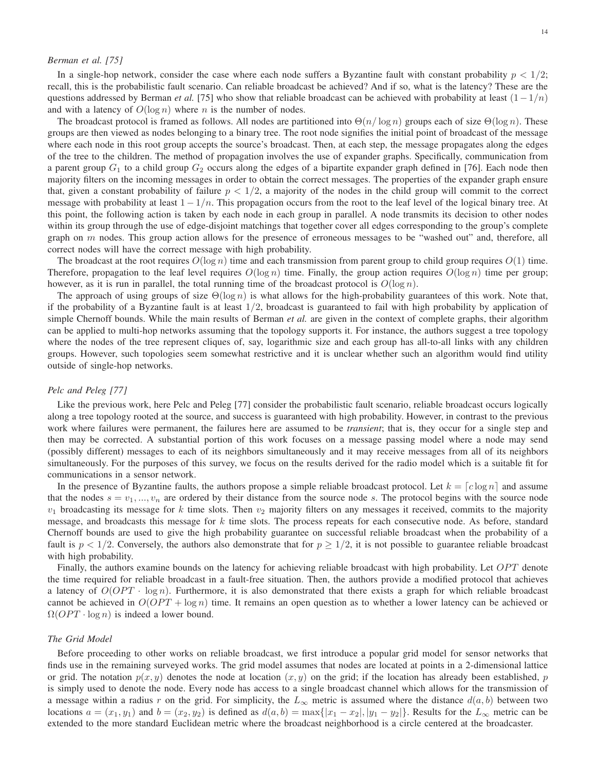#### *Berman et al. [75]*

In a single-hop network, consider the case where each node suffers a Byzantine fault with constant probability  $p < 1/2$ ; recall, this is the probabilistic fault scenario. Can reliable broadcast be achieved? And if so, what is the latency? These are the questions addressed by Berman *et al.* [75] who show that reliable broadcast can be achieved with probability at least  $(1-1/n)$ and with a latency of  $O(\log n)$  where n is the number of nodes.

The broadcast protocol is framed as follows. All nodes are partitioned into  $\Theta(n/\log n)$  groups each of size  $\Theta(\log n)$ . These groups are then viewed as nodes belonging to a binary tree. The root node signifies the initial point of broadcast of the message where each node in this root group accepts the source's broadcast. Then, at each step, the message propagates along the edges of the tree to the children. The method of propagation involves the use of expander graphs. Specifically, communication from a parent group  $G_1$  to a child group  $G_2$  occurs along the edges of a bipartite expander graph defined in [76]. Each node then majority filters on the incoming messages in order to obtain the correct messages. The properties of the expander graph ensure that, given a constant probability of failure  $p < 1/2$ , a majority of the nodes in the child group will commit to the correct message with probability at least  $1 - 1/n$ . This propagation occurs from the root to the leaf level of the logical binary tree. At this point, the following action is taken by each node in each group in parallel. A node transmits its decision to other nodes within its group through the use of edge-disjoint matchings that together cover all edges corresponding to the group's complete graph on  $m$  nodes. This group action allows for the presence of erroneous messages to be "washed out" and, therefore, all correct nodes will have the correct message with high probability.

The broadcast at the root requires  $O(\log n)$  time and each transmission from parent group to child group requires  $O(1)$  time. Therefore, propagation to the leaf level requires  $O(\log n)$  time. Finally, the group action requires  $O(\log n)$  time per group; however, as it is run in parallel, the total running time of the broadcast protocol is  $O(\log n)$ .

The approach of using groups of size  $\Theta(\log n)$  is what allows for the high-probability guarantees of this work. Note that, if the probability of a Byzantine fault is at least  $1/2$ , broadcast is guaranteed to fail with high probability by application of simple Chernoff bounds. While the main results of Berman *et al.* are given in the context of complete graphs, their algorithm can be applied to multi-hop networks assuming that the topology supports it. For instance, the authors suggest a tree topology where the nodes of the tree represent cliques of, say, logarithmic size and each group has all-to-all links with any children groups. However, such topologies seem somewhat restrictive and it is unclear whether such an algorithm would find utility outside of single-hop networks.

# *Pelc and Peleg [77]*

Like the previous work, here Pelc and Peleg [77] consider the probabilistic fault scenario, reliable broadcast occurs logically along a tree topology rooted at the source, and success is guaranteed with high probability. However, in contrast to the previous work where failures were permanent, the failures here are assumed to be *transient*; that is, they occur for a single step and then may be corrected. A substantial portion of this work focuses on a message passing model where a node may send (possibly different) messages to each of its neighbors simultaneously and it may receive messages from all of its neighbors simultaneously. For the purposes of this survey, we focus on the results derived for the radio model which is a suitable fit for communications in a sensor network.

In the presence of Byzantine faults, the authors propose a simple reliable broadcast protocol. Let  $k = \lceil c \log n \rceil$  and assume that the nodes  $s = v_1, ..., v_n$  are ordered by their distance from the source node s. The protocol begins with the source node  $v_1$  broadcasting its message for k time slots. Then  $v_2$  majority filters on any messages it received, commits to the majority message, and broadcasts this message for k time slots. The process repeats for each consecutive node. As before, standard Chernoff bounds are used to give the high probability guarantee on successful reliable broadcast when the probability of a fault is  $p < 1/2$ . Conversely, the authors also demonstrate that for  $p \ge 1/2$ , it is not possible to guarantee reliable broadcast with high probability.

Finally, the authors examine bounds on the latency for achieving reliable broadcast with high probability. Let OPT denote the time required for reliable broadcast in a fault-free situation. Then, the authors provide a modified protocol that achieves a latency of  $O(OPT \cdot \log n)$ . Furthermore, it is also demonstrated that there exists a graph for which reliable broadcast cannot be achieved in  $O(OPT + \log n)$  time. It remains an open question as to whether a lower latency can be achieved or  $\Omega(OPT \cdot \log n)$  is indeed a lower bound.

#### *The Grid Model*

Before proceeding to other works on reliable broadcast, we first introduce a popular grid model for sensor networks that finds use in the remaining surveyed works. The grid model assumes that nodes are located at points in a 2-dimensional lattice or grid. The notation  $p(x, y)$  denotes the node at location  $(x, y)$  on the grid; if the location has already been established, p is simply used to denote the node. Every node has access to a single broadcast channel which allows for the transmission of a message within a radius r on the grid. For simplicity, the  $L_{\infty}$  metric is assumed where the distance  $d(a, b)$  between two locations  $a = (x_1, y_1)$  and  $b = (x_2, y_2)$  is defined as  $d(a, b) = \max\{|x_1 - x_2|, |y_1 - y_2|\}\$ . Results for the  $L_{\infty}$  metric can be extended to the more standard Euclidean metric where the broadcast neighborhood is a circle centered at the broadcaster.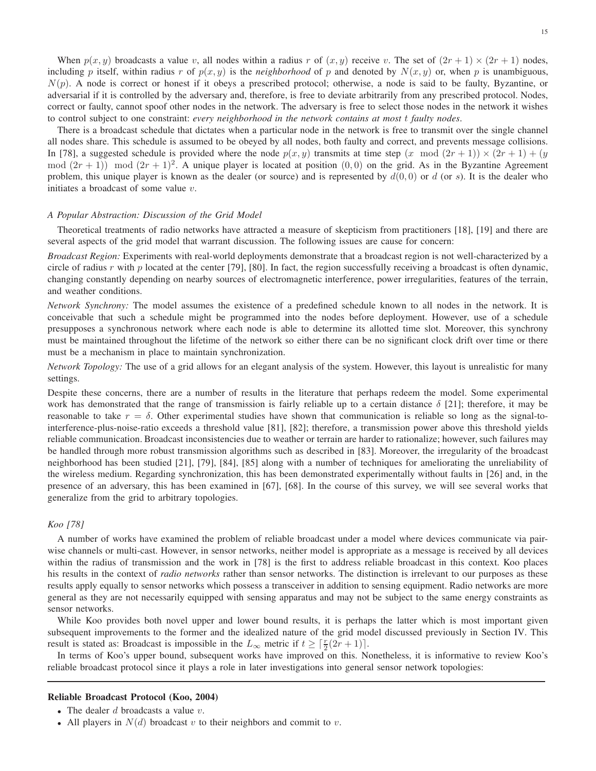When  $p(x, y)$  broadcasts a value v, all nodes within a radius r of  $(x, y)$  receive v. The set of  $(2r + 1) \times (2r + 1)$  nodes, including p itself, within radius r of  $p(x, y)$  is the *neighborhood* of p and denoted by  $N(x, y)$  or, when p is unambiguous,  $N(p)$ . A node is correct or honest if it obeys a prescribed protocol; otherwise, a node is said to be faulty, Byzantine, or adversarial if it is controlled by the adversary and, therefore, is free to deviate arbitrarily from any prescribed protocol. Nodes, correct or faulty, cannot spoof other nodes in the network. The adversary is free to select those nodes in the network it wishes to control subject to one constraint: *every neighborhood in the network contains at most* t *faulty nodes*.

There is a broadcast schedule that dictates when a particular node in the network is free to transmit over the single channel all nodes share. This schedule is assumed to be obeyed by all nodes, both faulty and correct, and prevents message collisions. In [78], a suggested schedule is provided where the node  $p(x, y)$  transmits at time step  $(x \mod (2r + 1)) \times (2r + 1) + (y \mod 2r)$ mod  $(2r + 1)$  mod  $(2r + 1)^2$ . A unique player is located at position  $(0, 0)$  on the grid. As in the Byzantine Agreement problem, this unique player is known as the dealer (or source) and is represented by  $d(0, 0)$  or d (or s). It is the dealer who initiates a broadcast of some value  $v$ .

## *A Popular Abstraction: Discussion of the Grid Model*

Theoretical treatments of radio networks have attracted a measure of skepticism from practitioners [18], [19] and there are several aspects of the grid model that warrant discussion. The following issues are cause for concern:

*Broadcast Region:* Experiments with real-world deployments demonstrate that a broadcast region is not well-characterized by a circle of radius r with p located at the center [79], [80]. In fact, the region successfully receiving a broadcast is often dynamic, changing constantly depending on nearby sources of electromagnetic interference, power irregularities, features of the terrain, and weather conditions.

*Network Synchrony:* The model assumes the existence of a predefined schedule known to all nodes in the network. It is conceivable that such a schedule might be programmed into the nodes before deployment. However, use of a schedule presupposes a synchronous network where each node is able to determine its allotted time slot. Moreover, this synchrony must be maintained throughout the lifetime of the network so either there can be no significant clock drift over time or there must be a mechanism in place to maintain synchronization.

*Network Topology:* The use of a grid allows for an elegant analysis of the system. However, this layout is unrealistic for many settings.

Despite these concerns, there are a number of results in the literature that perhaps redeem the model. Some experimental work has demonstrated that the range of transmission is fairly reliable up to a certain distance  $\delta$  [21]; therefore, it may be reasonable to take  $r = \delta$ . Other experimental studies have shown that communication is reliable so long as the signal-tointerference-plus-noise-ratio exceeds a threshold value [81], [82]; therefore, a transmission power above this threshold yields reliable communication. Broadcast inconsistencies due to weather or terrain are harder to rationalize; however, such failures may be handled through more robust transmission algorithms such as described in [83]. Moreover, the irregularity of the broadcast neighborhood has been studied [21], [79], [84], [85] along with a number of techniques for ameliorating the unreliability of the wireless medium. Regarding synchronization, this has been demonstrated experimentally without faults in [26] and, in the presence of an adversary, this has been examined in [67], [68]. In the course of this survey, we will see several works that generalize from the grid to arbitrary topologies.

## *Koo [78]*

A number of works have examined the problem of reliable broadcast under a model where devices communicate via pairwise channels or multi-cast. However, in sensor networks, neither model is appropriate as a message is received by all devices within the radius of transmission and the work in [78] is the first to address reliable broadcast in this context. Koo places his results in the context of *radio networks* rather than sensor networks. The distinction is irrelevant to our purposes as these results apply equally to sensor networks which possess a transceiver in addition to sensing equipment. Radio networks are more general as they are not necessarily equipped with sensing apparatus and may not be subject to the same energy constraints as sensor networks.

While Koo provides both novel upper and lower bound results, it is perhaps the latter which is most important given subsequent improvements to the former and the idealized nature of the grid model discussed previously in Section IV. This result is stated as: Broadcast is impossible in the  $L_{\infty}$  metric if  $t \geq \lceil \frac{r}{2}(2r+1) \rceil$ .

In terms of Koo's upper bound, subsequent works have improved on this. Nonetheless, it is informative to review Koo's reliable broadcast protocol since it plays a role in later investigations into general sensor network topologies:

## **Reliable Broadcast Protocol (Koo, 2004)**

- The dealer  $d$  broadcasts a value  $v$ .
- All players in  $N(d)$  broadcast v to their neighbors and commit to v.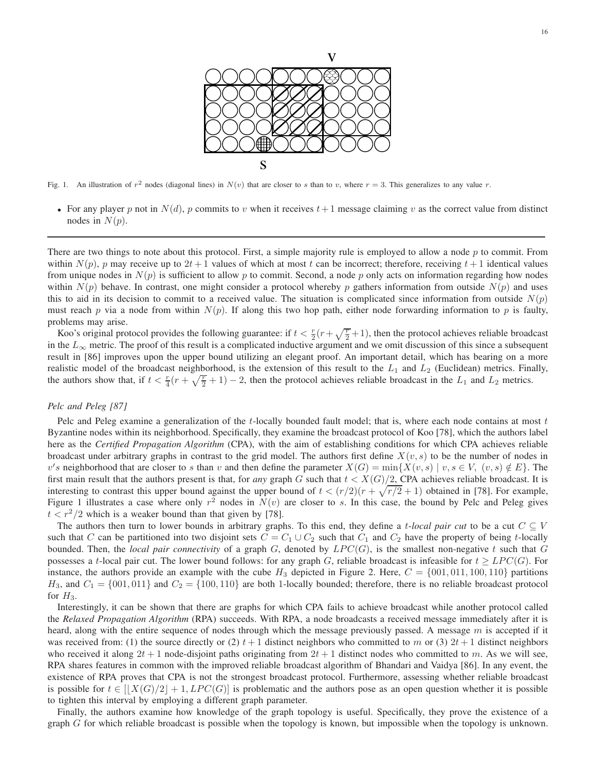

Fig. 1. An illustration of  $r^2$  nodes (diagonal lines) in  $N(v)$  that are closer to s than to v, where  $r = 3$ . This generalizes to any value r.

• For any player p not in  $N(d)$ , p commits to v when it receives  $t+1$  message claiming v as the correct value from distinct nodes in  $N(p)$ .

There are two things to note about this protocol. First, a simple majority rule is employed to allow a node  $p$  to commit. From within  $N(p)$ , p may receive up to  $2t + 1$  values of which at most t can be incorrect; therefore, receiving  $t + 1$  identical values from unique nodes in  $N(p)$  is sufficient to allow p to commit. Second, a node p only acts on information regarding how nodes within  $N(p)$  behave. In contrast, one might consider a protocol whereby p gathers information from outside  $N(p)$  and uses this to aid in its decision to commit to a received value. The situation is complicated since information from outside  $N(p)$ must reach p via a node from within  $N(p)$ . If along this two hop path, either node forwarding information to p is faulty, problems may arise.

Koo's original protocol provides the following guarantee: if  $t < \frac{r}{2}(r + \sqrt{\frac{r}{2}} + 1)$ , then the protocol achieves reliable broadcast in the  $L_{\infty}$  metric. The proof of this result is a complicated inductive argument and we omit discussion of this since a subsequent result in [86] improves upon the upper bound utilizing an elegant proof. An important detail, which has bearing on a more realistic model of the broadcast neighborhood, is the extension of this result to the  $L_1$  and  $L_2$  (Euclidean) metrics. Finally, the authors show that, if  $t < \frac{r}{4}(r + \sqrt{\frac{r}{2}} + 1) - 2$ , then the protocol achieves reliable broadcast in the  $L_1$  and  $L_2$  metrics.

## *Pelc and Peleg [87]*

Pelc and Peleg examine a generalization of the t-locally bounded fault model; that is, where each node contains at most t Byzantine nodes within its neighborhood. Specifically, they examine the broadcast protocol of Koo [78], which the authors label here as the *Certified Propagation Algorithm* (CPA), with the aim of establishing conditions for which CPA achieves reliable broadcast under arbitrary graphs in contrast to the grid model. The authors first define  $X(v, s)$  to be the number of nodes in  $v's$  neighborhood that are closer to s than v and then define the parameter  $X(G) = \min\{X(v, s) \mid v, s \in V, (v, s) \notin E\}$ . The first main result that the authors present is that, for *any* graph G such that  $t < X(G)/2$ , CPA achieves reliable broadcast. It is interesting to contrast this upper bound against the upper bound of  $t < (r/2)(r + \sqrt{r/2} + 1)$  obtained in [78]. For example, Figure 1 illustrates a case where only  $r^2$  nodes in  $N(v)$  are closer to s. In this case, the bound by Pelc and Peleg gives  $t < r<sup>2</sup>/2$  which is a weaker bound than that given by [78].

The authors then turn to lower bounds in arbitrary graphs. To this end, they define a t-local pair cut to be a cut  $C \subseteq V$ such that C can be partitioned into two disjoint sets  $C = C_1 \cup C_2$  such that  $C_1$  and  $C_2$  have the property of being t-locally bounded. Then, the *local pair connectivity* of a graph  $G$ , denoted by  $LPC(G)$ , is the smallest non-negative t such that  $G$ possesses a t-local pair cut. The lower bound follows: for any graph G, reliable broadcast is infeasible for  $t \geq LPC(G)$ . For instance, the authors provide an example with the cube  $H_3$  depicted in Figure 2. Here,  $C = \{001, 011, 100, 110\}$  partitions  $H_3$ , and  $C_1 = \{001, 011\}$  and  $C_2 = \{100, 110\}$  are both 1-locally bounded; therefore, there is no reliable broadcast protocol for  $H_3$ .

Interestingly, it can be shown that there are graphs for which CPA fails to achieve broadcast while another protocol called the *Relaxed Propagation Algorithm* (RPA) succeeds. With RPA, a node broadcasts a received message immediately after it is heard, along with the entire sequence of nodes through which the message previously passed. A message  $m$  is accepted if it was received from: (1) the source directly or (2)  $t + 1$  distinct neighbors who committed to m or (3)  $2t + 1$  distinct neighbors who received it along  $2t + 1$  node-disjoint paths originating from  $2t + 1$  distinct nodes who committed to m. As we will see, RPA shares features in common with the improved reliable broadcast algorithm of Bhandari and Vaidya [86]. In any event, the existence of RPA proves that CPA is not the strongest broadcast protocol. Furthermore, assessing whether reliable broadcast is possible for  $t \in [X(G)/2] + 1$ ,  $LPC(G)$  is problematic and the authors pose as an open question whether it is possible to tighten this interval by employing a different graph parameter.

Finally, the authors examine how knowledge of the graph topology is useful. Specifically, they prove the existence of a graph G for which reliable broadcast is possible when the topology is known, but impossible when the topology is unknown.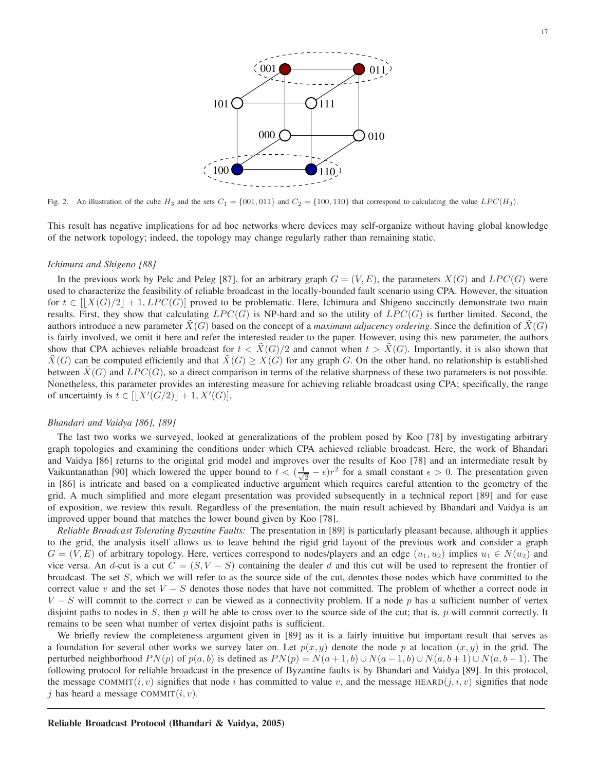

Fig. 2. An illustration of the cube  $H_3$  and the sets  $C_1 = \{001, 011\}$  and  $C_2 = \{100, 110\}$  that correspond to calculating the value  $LPC(H_3)$ .

This result has negative implications for ad hoc networks where devices may self-organize without having global knowledge of the network topology; indeed, the topology may change regularly rather than remaining static.

#### *Ichimura and Shigeno [88]*

In the previous work by Pelc and Peleg [87], for an arbitrary graph  $G = (V, E)$ , the parameters  $X(G)$  and  $LPC(G)$  were used to characterize the feasibility of reliable broadcast in the locally-bounded fault scenario using CPA. However, the situation for  $t \in |X(G)/2| + 1$ ,  $LPC(G)|$  proved to be problematic. Here, Ichimura and Shigeno succinctly demonstrate two main results. First, they show that calculating  $LPC(G)$  is NP-hard and so the utility of  $LPC(G)$  is further limited. Second, the authors introduce a new parameter  $X(G)$  based on the concept of a *maximum adjacency ordering*. Since the definition of  $X(G)$ is fairly involved, we omit it here and refer the interested reader to the paper. However, using this new parameter, the authors show that CPA achieves reliable broadcast for  $t < X(G)/2$  and cannot when  $t > X(G)$ . Importantly, it is also shown that  $\hat{X}(G)$  can be computed efficiently and that  $\hat{X}(G) \geq X(G)$  for any graph G. On the other hand, no relationship is established between  $X(G)$  and  $LPC(G)$ , so a direct comparison in terms of the relative sharpness of these two parameters is not possible. Nonetheless, this parameter provides an interesting measure for achieving reliable broadcast using CPA; specifically, the range of uncertainty is  $t \in [[X'(G/2)] + 1, X'(G)].$ 

# *Bhandari and Vaidya [86], [89]*

The last two works we surveyed, looked at generalizations of the problem posed by Koo [78] by investigating arbitrary graph topologies and examining the conditions under which CPA achieved reliable broadcast. Here, the work of Bhandari and Vaidya [86] returns to the original grid model and improves over the results of Koo [78] and an intermediate result by Vaikuntanathan [90] which lowered the upper bound to  $t < (\frac{1}{\sqrt{2}})$  $\frac{1}{2} - \epsilon$ )r<sup>2</sup> for a small constant  $\epsilon > 0$ . The presentation given in [86] is intricate and based on a complicated inductive argument which requires careful attention to the geometry of the grid. A much simplified and more elegant presentation was provided subsequently in a technical report [89] and for ease of exposition, we review this result. Regardless of the presentation, the main result achieved by Bhandari and Vaidya is an improved upper bound that matches the lower bound given by Koo [78].

*Reliable Broadcast Tolerating Byzantine Faults:* The presentation in [89] is particularly pleasant because, although it applies to the grid, the analysis itself allows us to leave behind the rigid grid layout of the previous work and consider a graph  $G = (V, E)$  of arbitrary topology. Here, vertices correspond to nodes/players and an edge  $(u_1, u_2)$  implies  $u_1 \in N(u_2)$  and vice versa. An d-cut is a cut  $C = (S, V - S)$  containing the dealer d and this cut will be used to represent the frontier of broadcast. The set S, which we will refer to as the source side of the cut, denotes those nodes which have committed to the correct value v and the set  $V - S$  denotes those nodes that have not committed. The problem of whether a correct node in  $V - S$  will commit to the correct v can be viewed as a connectivity problem. If a node p has a sufficient number of vertex disjoint paths to nodes in  $S$ , then  $p$  will be able to cross over to the source side of the cut; that is,  $p$  will commit correctly. It remains to be seen what number of vertex disjoint paths is sufficient.

We briefly review the completeness argument given in [89] as it is a fairly intuitive but important result that serves as a foundation for several other works we survey later on. Let  $p(x, y)$  denote the node p at location  $(x, y)$  in the grid. The perturbed neighborhood  $PN(p)$  of  $p(a, b)$  is defined as  $PN(p) = N(a+1, b) \cup N(a-1, b) \cup N(a, b+1) \cup N(a, b-1)$ . The following protocol for reliable broadcast in the presence of Byzantine faults is by Bhandari and Vaidya [89]. In this protocol, the message COMMIT $(i, v)$  signifies that node i has committed to value v, and the message HEARD $(j, i, v)$  signifies that node j has heard a message COMMIT $(i, v)$ .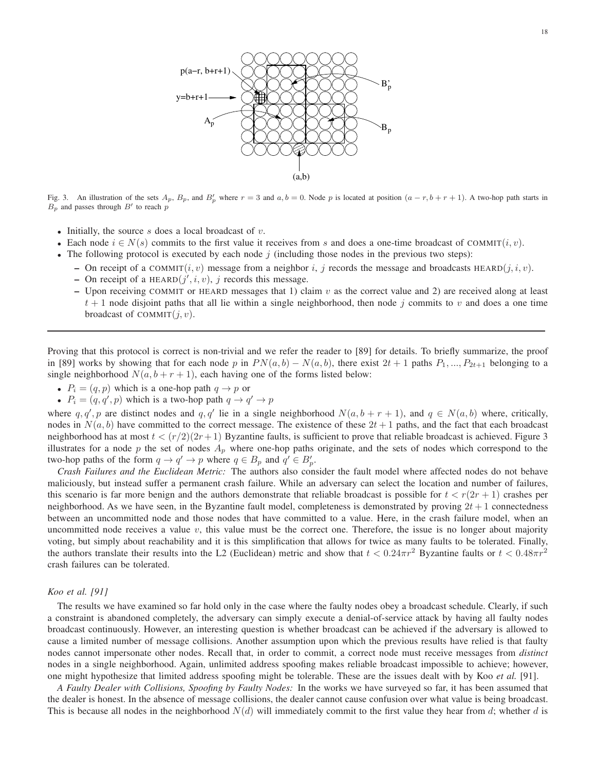

Fig. 3. An illustration of the sets  $A_p$ ,  $B_p$ , and  $B'_p$  where  $r = 3$  and  $a, b = 0$ . Node p is located at position  $(a - r, b + r + 1)$ . A two-hop path starts in  $B_p$  and passes through  $B'$  to reach  $p$ 

- Initially, the source  $s$  does a local broadcast of  $v$ .
- Each node  $i \in N(s)$  commits to the first value it receives from s and does a one-time broadcast of COMMIT $(i, v)$ .
- The following protocol is executed by each node  $j$  (including those nodes in the previous two steps):
	- **–** On receipt of a COMMIT $(i, v)$  message from a neighbor i, j records the message and broadcasts HEARD $(j, i, v)$ .
	- $\blacksquare$  On receipt of a HEARD $(j', i, v)$ , j records this message.
	- $-$  Upon receiving COMMIT or HEARD messages that 1) claim v as the correct value and 2) are received along at least  $t + 1$  node disjoint paths that all lie within a single neighborhood, then node j commits to v and does a one time broadcast of COMMIT $(j, v)$ .

Proving that this protocol is correct is non-trivial and we refer the reader to [89] for details. To briefly summarize, the proof in [89] works by showing that for each node p in  $PN(a, b) - N(a, b)$ , there exist  $2t + 1$  paths  $P_1, ..., P_{2t+1}$  belonging to a single neighborhood  $N(a, b + r + 1)$ , each having one of the forms listed below:

- $P_i = (q, p)$  which is a one-hop path  $q \rightarrow p$  or
- $P_i = (q, q', p)$  which is a two-hop path  $q \to q' \to p$

where  $q, q', p$  are distinct nodes and  $q, q'$  lie in a single neighborhood  $N(a, b + r + 1)$ , and  $q \in N(a, b)$  where, critically, nodes in  $N(a, b)$  have committed to the correct message. The existence of these  $2t + 1$  paths, and the fact that each broadcast neighborhood has at most  $t < (r/2)(2r+1)$  Byzantine faults, is sufficient to prove that reliable broadcast is achieved. Figure 3 illustrates for a node  $p$  the set of nodes  $A_p$  where one-hop paths originate, and the sets of nodes which correspond to the two-hop paths of the form  $q \to q' \to p$  where  $q \in B_p$  and  $q' \in B'_p$ .

*Crash Failures and the Euclidean Metric:* The authors also consider the fault model where affected nodes do not behave maliciously, but instead suffer a permanent crash failure. While an adversary can select the location and number of failures, this scenario is far more benign and the authors demonstrate that reliable broadcast is possible for  $t < r(2r + 1)$  crashes per neighborhood. As we have seen, in the Byzantine fault model, completeness is demonstrated by proving  $2t + 1$  connectedness between an uncommitted node and those nodes that have committed to a value. Here, in the crash failure model, when an uncommitted node receives a value  $v$ , this value must be the correct one. Therefore, the issue is no longer about majority voting, but simply about reachability and it is this simplification that allows for twice as many faults to be tolerated. Finally, the authors translate their results into the L2 (Euclidean) metric and show that  $t < 0.24\pi r^2$  Byzantine faults or  $t < 0.48\pi r^2$ crash failures can be tolerated.

# *Koo et al. [91]*

The results we have examined so far hold only in the case where the faulty nodes obey a broadcast schedule. Clearly, if such a constraint is abandoned completely, the adversary can simply execute a denial-of-service attack by having all faulty nodes broadcast continuously. However, an interesting question is whether broadcast can be achieved if the adversary is allowed to cause a limited number of message collisions. Another assumption upon which the previous results have relied is that faulty nodes cannot impersonate other nodes. Recall that, in order to commit, a correct node must receive messages from *distinct* nodes in a single neighborhood. Again, unlimited address spoofing makes reliable broadcast impossible to achieve; however, one might hypothesize that limited address spoofing might be tolerable. These are the issues dealt with by Koo *et al.* [91].

*A Faulty Dealer with Collisions, Spoofing by Faulty Nodes:* In the works we have surveyed so far, it has been assumed that the dealer is honest. In the absence of message collisions, the dealer cannot cause confusion over what value is being broadcast. This is because all nodes in the neighborhood  $N(d)$  will immediately commit to the first value they hear from d; whether d is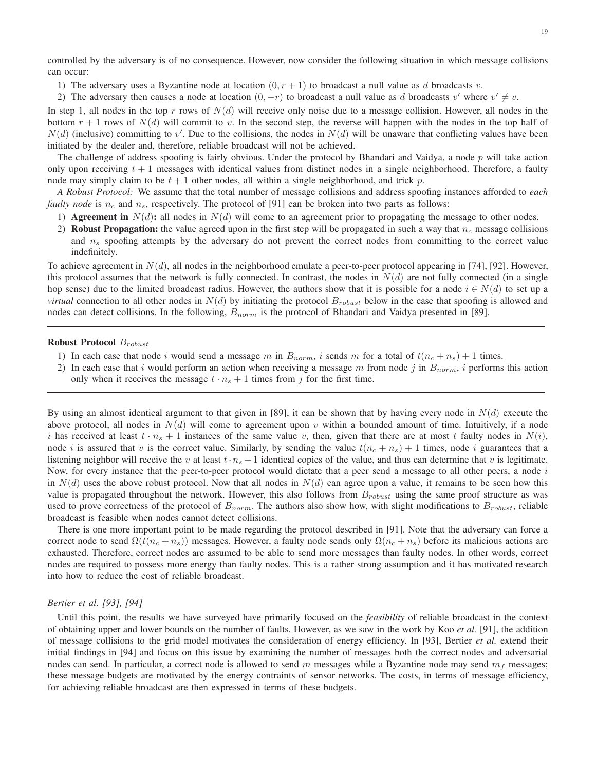controlled by the adversary is of no consequence. However, now consider the following situation in which message collisions can occur:

- 1) The adversary uses a Byzantine node at location  $(0, r + 1)$  to broadcast a null value as d broadcasts v.
- 2) The adversary then causes a node at location  $(0, -r)$  to broadcast a null value as d broadcasts v' where  $v' \neq v$ .

In step 1, all nodes in the top r rows of  $N(d)$  will receive only noise due to a message collision. However, all nodes in the bottom  $r + 1$  rows of  $N(d)$  will commit to v. In the second step, the reverse will happen with the nodes in the top half of  $N(d)$  (inclusive) committing to v'. Due to the collisions, the nodes in  $N(d)$  will be unaware that conflicting values have been initiated by the dealer and, therefore, reliable broadcast will not be achieved.

The challenge of address spoofing is fairly obvious. Under the protocol by Bhandari and Vaidya, a node  $p$  will take action only upon receiving  $t + 1$  messages with identical values from distinct nodes in a single neighborhood. Therefore, a faulty node may simply claim to be  $t + 1$  other nodes, all within a single neighborhood, and trick p.

*A Robust Protocol:* We assume that the total number of message collisions and address spoofing instances afforded to *each faulty node* is  $n_c$  and  $n_s$ , respectively. The protocol of [91] can be broken into two parts as follows:

- 1) **Agreement in**  $N(d)$ : all nodes in  $N(d)$  will come to an agreement prior to propagating the message to other nodes.
- 2) **Robust Propagation:** the value agreed upon in the first step will be propagated in such a way that  $n_c$  message collisions and  $n<sub>s</sub>$  spoofing attempts by the adversary do not prevent the correct nodes from committing to the correct value indefinitely.

To achieve agreement in  $N(d)$ , all nodes in the neighborhood emulate a peer-to-peer protocol appearing in [74], [92]. However, this protocol assumes that the network is fully connected. In contrast, the nodes in  $N(d)$  are not fully connected (in a single hop sense) due to the limited broadcast radius. However, the authors show that it is possible for a node  $i \in N(d)$  to set up a *virtual* connection to all other nodes in  $N(d)$  by initiating the protocol  $B_{robust}$  below in the case that spoofing is allowed and nodes can detect collisions. In the following,  $B_{norm}$  is the protocol of Bhandari and Vaidya presented in [89].

# **Robust Protocol** Brobust

- 1) In each case that node i would send a message m in  $B_{norm}$ , i sends m for a total of  $t(n_c + n_s) + 1$  times.
- 2) In each case that i would perform an action when receiving a message m from node j in  $B_{norm}$ , i performs this action only when it receives the message  $t \cdot n_s + 1$  times from j for the first time.

By using an almost identical argument to that given in [89], it can be shown that by having every node in  $N(d)$  execute the above protocol, all nodes in  $N(d)$  will come to agreement upon v within a bounded amount of time. Intuitively, if a node i has received at least  $t \cdot n_s + 1$  instances of the same value v, then, given that there are at most t faulty nodes in  $N(i)$ , node i is assured that v is the correct value. Similarly, by sending the value  $t(n_c + n_s) + 1$  times, node i guarantees that a listening neighbor will receive the v at least  $t \cdot n_s + 1$  identical copies of the value, and thus can determine that v is legitimate. Now, for every instance that the peer-to-peer protocol would dictate that a peer send a message to all other peers, a node  $i$ in  $N(d)$  uses the above robust protocol. Now that all nodes in  $N(d)$  can agree upon a value, it remains to be seen how this value is propagated throughout the network. However, this also follows from  $B_{robust}$  using the same proof structure as was used to prove correctness of the protocol of  $B_{norm}$ . The authors also show how, with slight modifications to  $B_{robust}$ , reliable broadcast is feasible when nodes cannot detect collisions.

There is one more important point to be made regarding the protocol described in [91]. Note that the adversary can force a correct node to send  $\Omega(t(n_c + n_s))$  messages. However, a faulty node sends only  $\Omega(n_c + n_s)$  before its malicious actions are exhausted. Therefore, correct nodes are assumed to be able to send more messages than faulty nodes. In other words, correct nodes are required to possess more energy than faulty nodes. This is a rather strong assumption and it has motivated research into how to reduce the cost of reliable broadcast.

## *Bertier et al. [93], [94]*

Until this point, the results we have surveyed have primarily focused on the *feasibility* of reliable broadcast in the context of obtaining upper and lower bounds on the number of faults. However, as we saw in the work by Koo *et al.* [91], the addition of message collisions to the grid model motivates the consideration of energy efficiency. In [93], Bertier *et al.* extend their initial findings in [94] and focus on this issue by examining the number of messages both the correct nodes and adversarial nodes can send. In particular, a correct node is allowed to send m messages while a Byzantine node may send  $m_f$  messages; these message budgets are motivated by the energy contraints of sensor networks. The costs, in terms of message efficiency, for achieving reliable broadcast are then expressed in terms of these budgets.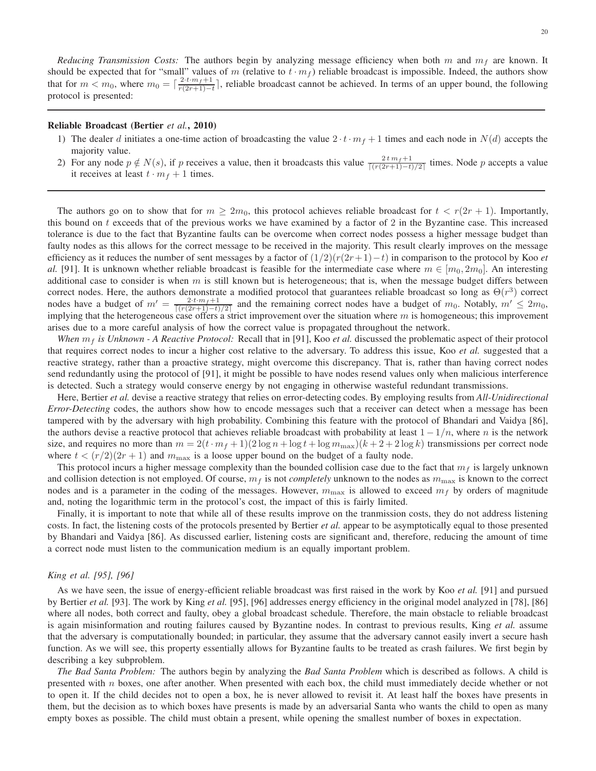*Reducing Transmission Costs:* The authors begin by analyzing message efficiency when both m and  $m_f$  are known. It should be expected that for "small" values of m (relative to  $t \cdot m_f$ ) reliable broadcast is impossible. Indeed, the authors show that for  $m < m_0$ , where  $m_0 = \lceil \frac{2 \cdot t \cdot m_f + 1}{r(2r+1) - 1} \rceil$  $\frac{2\cdot \ln f + 1}{r(2r+1)-t}$ , reliable broadcast cannot be achieved. In terms of an upper bound, the following protocol is presented:

#### **Reliable Broadcast (Bertier** *et al.***, 2010)**

- 1) The dealer d initiates a one-time action of broadcasting the value  $2 \cdot t \cdot m_f + 1$  times and each node in  $N(d)$  accepts the majority value.
- 2) For any node  $p \notin N(s)$ , if p receives a value, then it broadcasts this value  $\frac{2 t m_f +1}{\sqrt{(r(2r+1)-t)/2)}}$  times. Node p accepts a value it receives at least  $t \cdot m_f + 1$  times.

The authors go on to show that for  $m \geq 2m_0$ , this protocol achieves reliable broadcast for  $t < r(2r + 1)$ . Importantly, this bound on  $t$  exceeds that of the previous works we have examined by a factor of 2 in the Byzantine case. This increased tolerance is due to the fact that Byzantine faults can be overcome when correct nodes possess a higher message budget than faulty nodes as this allows for the correct message to be received in the majority. This result clearly improves on the message efficiency as it reduces the number of sent messages by a factor of  $(1/2)(r(2r+1)-t)$  in comparison to the protocol by Koo *et al.* [91]. It is unknown whether reliable broadcast is feasible for the intermediate case where  $m \in [m_0, 2m_0]$ . An interesting additional case to consider is when  $m$  is still known but is heterogeneous; that is, when the message budget differs between correct nodes. Here, the authors demonstrate a modified protocol that guarantees reliable broadcast so long as  $\Theta(r^3)$  correct nodes have a budget of  $m' = \frac{2 \cdot t \cdot m_f + 1}{\lceil (r/(2r+1) - t) \rceil}$  $\frac{[f(r(2r+1)-t)/2]}{[(r(2r+1)-t)/2]}$  and the remaining correct nodes have a budget of  $m_0$ . Notably,  $m' \leq 2m_0$ , implying that the heterogeneous case offers a strict improvement over the situation where  $m$  is homogeneous; this improvement arises due to a more careful analysis of how the correct value is propagated throughout the network.

*When*  $m_f$  *is Unknown - A Reactive Protocol:* Recall that in [91], Koo *et al.* discussed the problematic aspect of their protocol that requires correct nodes to incur a higher cost relative to the adversary. To address this issue, Koo *et al.* suggested that a reactive strategy, rather than a proactive strategy, might overcome this discrepancy. That is, rather than having correct nodes send redundantly using the protocol of [91], it might be possible to have nodes resend values only when malicious interference is detected. Such a strategy would conserve energy by not engaging in otherwise wasteful redundant transmissions.

Here, Bertier *et al.* devise a reactive strategy that relies on error-detecting codes. By employing results from *All-Unidirectional Error-Detecting* codes, the authors show how to encode messages such that a receiver can detect when a message has been tampered with by the adversary with high probability. Combining this feature with the protocol of Bhandari and Vaidya [86], the authors devise a reactive protocol that achieves reliable broadcast with probability at least  $1 - 1/n$ , where n is the network size, and requires no more than  $m = 2(t \cdot m_f + 1)(2 \log n + \log t + \log m_{\max})(k + 2 + 2 \log k)$  transmissions per correct node where  $t < (r/2)(2r + 1)$  and  $m_{\text{max}}$  is a loose upper bound on the budget of a faulty node.

This protocol incurs a higher message complexity than the bounded collision case due to the fact that  $m_f$  is largely unknown and collision detection is not employed. Of course,  $m_f$  is not *completely* unknown to the nodes as  $m_{\text{max}}$  is known to the correct nodes and is a parameter in the coding of the messages. However,  $m_{\text{max}}$  is allowed to exceed  $m_f$  by orders of magnitude and, noting the logarithmic term in the protocol's cost, the impact of this is fairly limited.

Finally, it is important to note that while all of these results improve on the tranmission costs, they do not address listening costs. In fact, the listening costs of the protocols presented by Bertier *et al.* appear to be asymptotically equal to those presented by Bhandari and Vaidya [86]. As discussed earlier, listening costs are significant and, therefore, reducing the amount of time a correct node must listen to the communication medium is an equally important problem.

#### *King et al. [95], [96]*

As we have seen, the issue of energy-efficient reliable broadcast was first raised in the work by Koo *et al.* [91] and pursued by Bertier *et al.* [93]. The work by King *et al.* [95], [96] addresses energy efficiency in the original model analyzed in [78], [86] where all nodes, both correct and faulty, obey a global broadcast schedule. Therefore, the main obstacle to reliable broadcast is again misinformation and routing failures caused by Byzantine nodes. In contrast to previous results, King *et al.* assume that the adversary is computationally bounded; in particular, they assume that the adversary cannot easily invert a secure hash function. As we will see, this property essentially allows for Byzantine faults to be treated as crash failures. We first begin by describing a key subproblem.

*The Bad Santa Problem:* The authors begin by analyzing the *Bad Santa Problem* which is described as follows. A child is presented with  $n$  boxes, one after another. When presented with each box, the child must immediately decide whether or not to open it. If the child decides not to open a box, he is never allowed to revisit it. At least half the boxes have presents in them, but the decision as to which boxes have presents is made by an adversarial Santa who wants the child to open as many empty boxes as possible. The child must obtain a present, while opening the smallest number of boxes in expectation.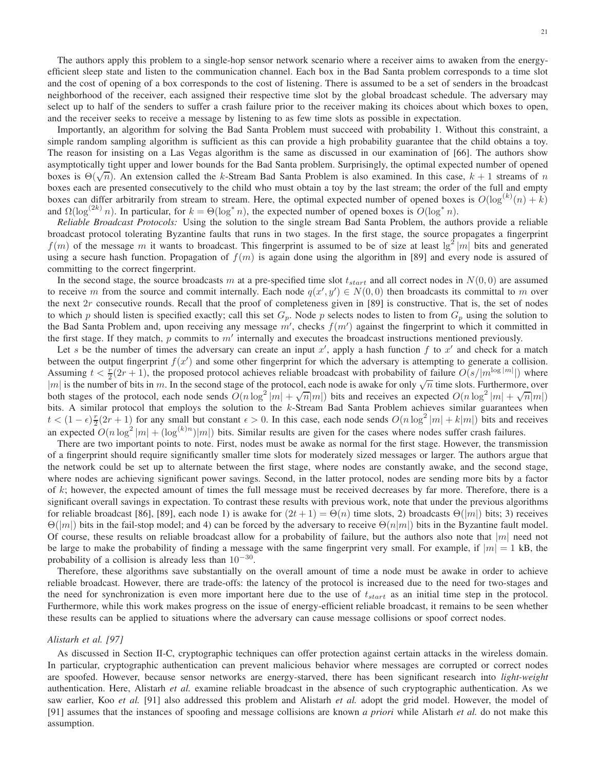The authors apply this problem to a single-hop sensor network scenario where a receiver aims to awaken from the energyefficient sleep state and listen to the communication channel. Each box in the Bad Santa problem corresponds to a time slot and the cost of opening of a box corresponds to the cost of listening. There is assumed to be a set of senders in the broadcast neighborhood of the receiver, each assigned their respective time slot by the global broadcast schedule. The adversary may select up to half of the senders to suffer a crash failure prior to the receiver making its choices about which boxes to open, and the receiver seeks to receive a message by listening to as few time slots as possible in expectation.

Importantly, an algorithm for solving the Bad Santa Problem must succeed with probability 1. Without this constraint, a simple random sampling algorithm is sufficient as this can provide a high probability guarantee that the child obtains a toy. The reason for insisting on a Las Vegas algorithm is the same as discussed in our examination of [66]. The authors show asymptotically tight upper and lower bounds for the Bad Santa problem. Surprisingly, the optimal expected number of opened boxes is  $\Theta(\sqrt{n})$ . An extension called the k-Stream Bad Santa Problem is also examined. In this case,  $k + 1$  streams of n boxes each are presented consecutively to the child who must obtain a toy by the last stream; the order of the full and empty boxes can differ arbitrarily from stream to stream. Here, the optimal expected number of opened boxes is  $O(\log^{(k)}(n) + k)$ and  $\Omega(\log^{(2k)} n)$ . In particular, for  $k = \Theta(\log^* n)$ , the expected number of opened boxes is  $O(\log^* n)$ .

*Reliable Broadcast Protocols:* Using the solution to the single stream Bad Santa Problem, the authors provide a reliable broadcast protocol tolerating Byzantine faults that runs in two stages. In the first stage, the source propagates a fingerprint  $f(m)$  of the message m it wants to broadcast. This fingerprint is assumed to be of size at least  $\lg^2 |m|$  bits and generated using a secure hash function. Propagation of  $f(m)$  is again done using the algorithm in [89] and every node is assured of committing to the correct fingerprint.

In the second stage, the source broadcasts m at a pre-specified time slot  $t_{start}$  and all correct nodes in  $N(0, 0)$  are assumed to receive m from the source and commit internally. Each node  $q(x', y') \in N(0, 0)$  then broadcasts its committal to m over the next  $2r$  consecutive rounds. Recall that the proof of completeness given in [89] is constructive. That is, the set of nodes to which p should listen is specified exactly; call this set  $G_p$ . Node p selects nodes to listen to from  $G_p$  using the solution to the Bad Santa Problem and, upon receiving any message  $m'$ , checks  $f(m')$  against the fingerprint to which it committed in the first stage. If they match,  $p$  commits to  $m'$  internally and executes the broadcast instructions mentioned previously.

Let s be the number of times the adversary can create an input  $x'$ , apply a hash function f to  $x'$  and check for a match between the output fingerprint  $f(x')$  and some other fingerprint for which the adversary is attempting to generate a collision. Assuming  $t < \frac{r}{2}(2r+1)$ , the proposed protocol achieves reliable broadcast with probability of failure  $O(s/|m^{\log |m|}|)$  where |m| is the number of bits in m. In the second stage of the protocol, each node is awake for only  $\sqrt{n}$  time slots. Furthermore, over both stages of the protocol, each node sends  $O(n \log^2 |m| + \sqrt{n}|m|)$  bits and receives an expected  $O(n \log^2 |m| + \sqrt{n}|m|)$ bits. A similar protocol that employs the solution to the k-Stream Bad Santa Problem achieves similar guarantees when  $t < (1 - \epsilon) \frac{r}{2} (2r + 1)$  for any small but constant  $\epsilon > 0$ . In this case, each node sends  $O(n \log^2 |m| + k|m|)$  bits and receives an expected  $O(n \log^2 |m| + (\log^{(k)n}) |m|)$  bits. Similar results are given for the cases where nodes suffer crash failures.

There are two important points to note. First, nodes must be awake as normal for the first stage. However, the transmission of a fingerprint should require significantly smaller time slots for moderately sized messages or larger. The authors argue that the network could be set up to alternate between the first stage, where nodes are constantly awake, and the second stage, where nodes are achieving significant power savings. Second, in the latter protocol, nodes are sending more bits by a factor of  $k$ ; however, the expected amount of times the full message must be received decreases by far more. Therefore, there is a significant overall savings in expectation. To contrast these results with previous work, note that under the previous algorithms for reliable broadcast [86], [89], each node 1) is awake for  $(2t + 1) = \Theta(n)$  time slots, 2) broadcasts  $\Theta(|m|)$  bits; 3) receives  $\Theta(|m|)$  bits in the fail-stop model; and 4) can be forced by the adversary to receive  $\Theta(n|m|)$  bits in the Byzantine fault model. Of course, these results on reliable broadcast allow for a probability of failure, but the authors also note that  $|m|$  need not be large to make the probability of finding a message with the same fingerprint very small. For example, if  $|m| = 1$  kB, the probability of a collision is already less than  $10^{-30}$ .

Therefore, these algorithms save substantially on the overall amount of time a node must be awake in order to achieve reliable broadcast. However, there are trade-offs: the latency of the protocol is increased due to the need for two-stages and the need for synchronization is even more important here due to the use of  $t_{start}$  as an initial time step in the protocol. Furthermore, while this work makes progress on the issue of energy-efficient reliable broadcast, it remains to be seen whether these results can be applied to situations where the adversary can cause message collisions or spoof correct nodes.

## *Alistarh et al. [97]*

As discussed in Section II-C, cryptographic techniques can offer protection against certain attacks in the wireless domain. In particular, cryptographic authentication can prevent malicious behavior where messages are corrupted or correct nodes are spoofed. However, because sensor networks are energy-starved, there has been significant research into *light-weight* authentication. Here, Alistarh *et al.* examine reliable broadcast in the absence of such cryptographic authentication. As we saw earlier, Koo *et al.* [91] also addressed this problem and Alistarh *et al.* adopt the grid model. However, the model of [91] assumes that the instances of spoofing and message collisions are known *a priori* while Alistarh *et al.* do not make this assumption.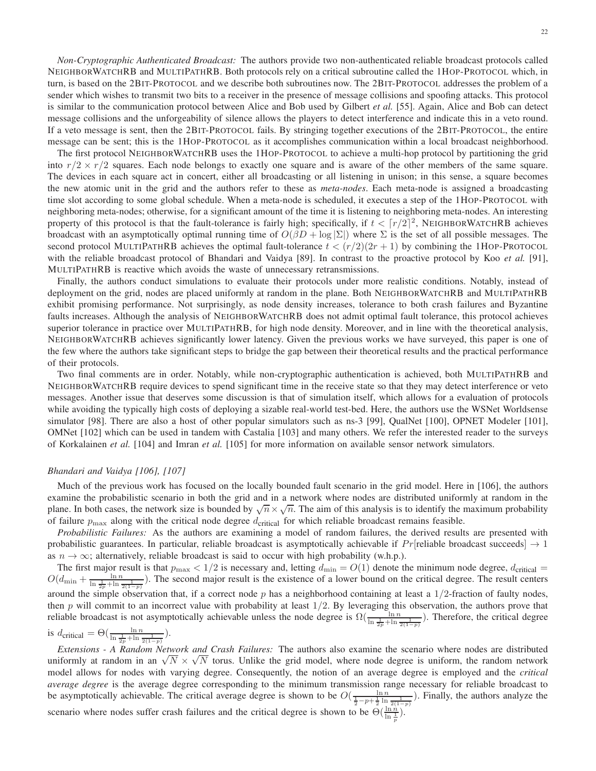*Non-Cryptographic Authenticated Broadcast:* The authors provide two non-authenticated reliable broadcast protocols called NEIGHBORWATCHRB and MULTIPATHRB. Both protocols rely on a critical subroutine called the 1HOP-PROTOCOL which, in turn, is based on the 2BIT-PROTOCOL and we describe both subroutines now. The 2BIT-PROTOCOL addresses the problem of a sender which wishes to transmit two bits to a receiver in the presence of message collisions and spoofing attacks. This protocol is similar to the communication protocol between Alice and Bob used by Gilbert *et al.* [55]. Again, Alice and Bob can detect message collisions and the unforgeability of silence allows the players to detect interference and indicate this in a veto round. If a veto message is sent, then the 2BIT-PROTOCOL fails. By stringing together executions of the 2BIT-PROTOCOL, the entire message can be sent; this is the 1HOP-PROTOCOL as it accomplishes communication within a local broadcast neighborhood.

The first protocol NEIGHBORWATCHRB uses the 1HOP-PROTOCOL to achieve a multi-hop protocol by partitioning the grid into  $r/2 \times r/2$  squares. Each node belongs to exactly one square and is aware of the other members of the same square. The devices in each square act in concert, either all broadcasting or all listening in unison; in this sense, a square becomes the new atomic unit in the grid and the authors refer to these as *meta-nodes*. Each meta-node is assigned a broadcasting time slot according to some global schedule. When a meta-node is scheduled, it executes a step of the 1HOP-PROTOCOL with neighboring meta-nodes; otherwise, for a significant amount of the time it is listening to neighboring meta-nodes. An interesting property of this protocol is that the fault-tolerance is fairly high; specifically, if  $t < \lceil r/2 \rceil^2$ , NEIGHBORWATCHRB achieves broadcast with an asymptotically optimal running time of  $O(\beta D + \log |\Sigma|)$  where  $\Sigma$  is the set of all possible messages. The second protocol MULTIPATHRB achieves the optimal fault-tolerance  $t < (r/2)(2r + 1)$  by combining the 1HOP-PROTOCOL with the reliable broadcast protocol of Bhandari and Vaidya [89]. In contrast to the proactive protocol by Koo *et al.* [91], MULTIPATHRB is reactive which avoids the waste of unnecessary retransmissions.

Finally, the authors conduct simulations to evaluate their protocols under more realistic conditions. Notably, instead of deployment on the grid, nodes are placed uniformly at random in the plane. Both NEIGHBORWATCHRB and MULTIPATHRB exhibit promising performance. Not surprisingly, as node density increases, tolerance to both crash failures and Byzantine faults increases. Although the analysis of NEIGHBORWATCHRB does not admit optimal fault tolerance, this protocol achieves superior tolerance in practice over MULTIPATHRB, for high node density. Moreover, and in line with the theoretical analysis, NEIGHBORWATCHRB achieves significantly lower latency. Given the previous works we have surveyed, this paper is one of the few where the authors take significant steps to bridge the gap between their theoretical results and the practical performance of their protocols.

Two final comments are in order. Notably, while non-cryptographic authentication is achieved, both MULTIPATHRB and NEIGHBORWATCHRB require devices to spend significant time in the receive state so that they may detect interference or veto messages. Another issue that deserves some discussion is that of simulation itself, which allows for a evaluation of protocols while avoiding the typically high costs of deploying a sizable real-world test-bed. Here, the authors use the WSNet Worldsense simulator [98]. There are also a host of other popular simulators such as ns-3 [99], QualNet [100], OPNET Modeler [101], OMNet [102] which can be used in tandem with Castalia [103] and many others. We refer the interested reader to the surveys of Korkalainen *et al.* [104] and Imran *et al.* [105] for more information on available sensor network simulators.

# *Bhandari and Vaidya [106], [107]*

Much of the previous work has focused on the locally bounded fault scenario in the grid model. Here in [106], the authors examine the probabilistic scenario in both the grid and in a network where nodes are distributed uniformly at random in the plane. In both cases, the network size is bounded by  $\sqrt{n} \times \sqrt{n}$ . The aim of this analysis is to identify the maximum probability of failure  $p_{\text{max}}$  along with the critical node degree  $d_{\text{critical}}$  for which reliable broadcast remains feasible.

*Probabilistic Failures:* As the authors are examining a model of random failures, the derived results are presented with probabilistic guarantees. In particular, reliable broadcast is asymptotically achievable if  $Pr[$ reliable broadcast succeeds]  $\rightarrow 1$ as  $n \to \infty$ ; alternatively, reliable broadcast is said to occur with high probability (w.h.p.).

The first major result is that  $p_{\text{max}} < 1/2$  is necessary and, letting  $d_{\text{min}} = O(1)$  denote the minimum node degree,  $d_{\text{critical}} =$  $O(d_{\min} + \frac{\ln n}{\ln \frac{1}{2p} + \ln \frac{1}{2(1-p)}})$ . The second major result is the existence of a lower bound on the critical degree. The result centers around the simple observation that, if a correct node  $p$  has a neighborhood containing at least a  $1/2$ -fraction of faulty nodes, then p will commit to an incorrect value with probability at least  $1/2$ . By leveraging this observation, the authors prove that reliable broadcast is not asymptotically achievable unless the node degree is  $\Omega(\frac{\ln n}{\ln \frac{1}{2p} + \ln \frac{1}{2(1-p)}})$ . Therefore, the critical degree

is 
$$
d_{\text{critical}} = \Theta\left(\frac{\ln n}{\ln \frac{1}{2p} + \ln \frac{1}{2(1-p)}}\right)
$$
.

*Extensions - A Random Network and Crash Failures:* The authors also examine the scenario where nodes are distributed uniformly at random in an  $\sqrt{N} \times \sqrt{N}$  torus. Unlike the grid model, where node degree is uniform, the random network model allows for nodes with varying degree. Consequently, the notion of an average degree is employed and the *critical average degree* is the average degree corresponding to the minimum transmission range necessary for reliable broadcast to be asymptotically achievable. The critical average degree is shown to be  $O(\frac{\ln n}{\frac{1}{2}-p+\frac{1}{2}\ln\frac{1}{2(1-p)}})$ . Finally, the authors analyze the scenario where nodes suffer crash failures and the critical degree is shown to be  $\Theta(\frac{\ln n}{\ln \frac{1}{p}})$ .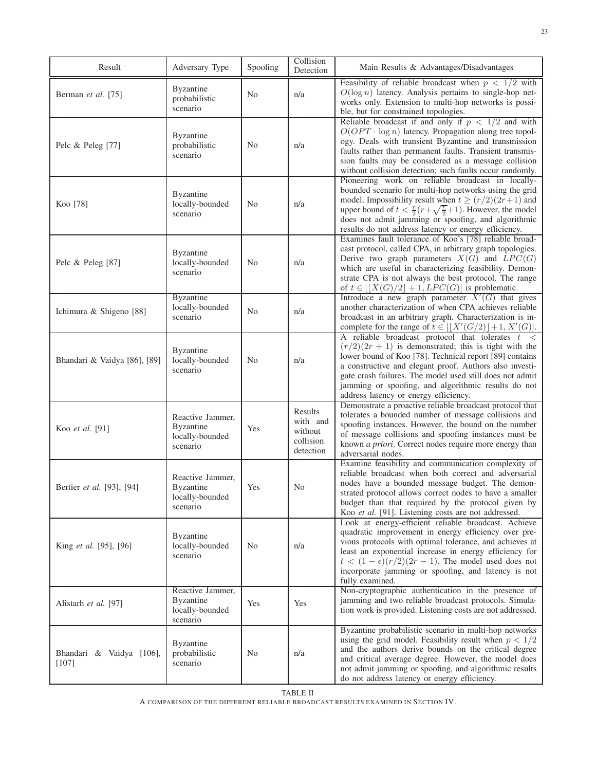| Result                              | Adversary Type                                                      | Spoofing       | Collision<br>Detection                                   | Main Results & Advantages/Disadvantages                                                                                                                                                                                                                                                                                                                                                         |
|-------------------------------------|---------------------------------------------------------------------|----------------|----------------------------------------------------------|-------------------------------------------------------------------------------------------------------------------------------------------------------------------------------------------------------------------------------------------------------------------------------------------------------------------------------------------------------------------------------------------------|
| Berman et al. [75]                  | <b>Byzantine</b><br>probabilistic<br>scenario                       | No             | n/a                                                      | Feasibility of reliable broadcast when $p < 1/2$ with<br>$O(\log n)$ latency. Analysis pertains to single-hop net-<br>works only. Extension to multi-hop networks is possi-<br>ble, but for constrained topologies.                                                                                                                                                                             |
| Pelc & Peleg [77]                   | <b>Byzantine</b><br>probabilistic<br>scenario                       | No             | n/a                                                      | Reliable broadcast if and only if $p < 1/2$ and with<br>$O(OPT \cdot \log n)$ latency. Propagation along tree topol-<br>ogy. Deals with transient Byzantine and transmission<br>faults rather than permanent faults. Transient transmis-<br>sion faults may be considered as a message collision<br>without collision detection; such faults occur randomly.                                    |
| Koo [78]                            | <b>Byzantine</b><br>locally-bounded<br>scenario                     | No             | n/a                                                      | Pioneering work on reliable broadcast in locally-<br>bounded scenario for multi-hop networks using the grid<br>model. Impossibility result when $t \ge (r/2)(2r+1)$ and<br>upper bound of $t < \frac{r}{2}(r + \sqrt{\frac{r}{2}} + 1)$ . However, the model<br>does not admit jamming or spoofing, and algorithmic<br>results do not address latency or energy efficiency.                     |
| Pelc $&$ Peleg [87]                 | <b>Byzantine</b><br>locally-bounded<br>scenario                     | No             | n/a                                                      | Examines fault tolerance of Koo's [78] reliable broad-<br>cast protocol, called CPA, in arbitrary graph topologies.<br>Derive two graph parameters $X(G)$ and $LPC(G)$<br>which are useful in characterizing feasibility. Demon-<br>strate CPA is not always the best protocol. The range<br>of $t \in [\lfloor X(G)/2 \rfloor + 1, \underline{LPC(G)}]$ is problematic.                        |
| Ichimura & Shigeno [88]             | <b>Byzantine</b><br>locally-bounded<br>scenario                     | No             | n/a                                                      | Introduce a new graph parameter $X'(G)$ that gives<br>another characterization of when CPA achieves reliable<br>broadcast in an arbitrary graph. Characterization is in-<br>complete for the range of $t \in [\lfloor X'(G/2) \rfloor + 1, X'(G)]$ .                                                                                                                                            |
| Bhandari & Vaidya [86], [89]        | <b>Byzantine</b><br>locally-bounded<br>scenario                     | N <sub>0</sub> | n/a                                                      | A reliable broadcast protocol that tolerates $t <$<br>$(r/2)(2r + 1)$ is demonstrated; this is tight with the<br>lower bound of Koo [78]. Technical report [89] contains<br>a constructive and elegant proof. Authors also investi-<br>gate crash failures. The model used still does not admit<br>jamming or spoofing, and algorithmic results do not<br>address latency or energy efficiency. |
| Koo et al. [91]                     | Reactive Jammer,<br><b>Byzantine</b><br>locally-bounded<br>scenario | Yes            | Results<br>with and<br>without<br>collision<br>detection | Demonstrate a proactive reliable broadcast protocol that<br>tolerates a bounded number of message collisions and<br>spoofing instances. However, the bound on the number<br>of message collisions and spoofing instances must be<br>known a priori. Correct nodes require more energy than<br>adversarial nodes.                                                                                |
| Bertier et al. [93], [94]           | Reactive Jammer,<br><b>Byzantine</b><br>locally-bounded<br>scenario | Yes            | N <sub>0</sub>                                           | Examine feasibility and communication complexity of<br>reliable broadcast when both correct and adversarial<br>nodes have a bounded message budget. The demon-<br>strated protocol allows correct nodes to have a smaller<br>budget than that required by the protocol given by<br>Koo et al. [91]. Listening costs are not addressed.                                                          |
| King et al. [95], [96]              | <b>Byzantine</b><br>locally-bounded<br>scenario                     | No             | n/a                                                      | Look at energy-efficient reliable broadcast. Achieve<br>quadratic improvement in energy efficiency over pre-<br>vious protocols with optimal tolerance, and achieves at<br>least an exponential increase in energy efficiency for<br>$t < (1 - \epsilon)(r/2)(2r - 1)$ . The model used does not<br>incorporate jamming or spoofing, and latency is not<br>fully examined.                      |
| Alistarh et al. [97]                | Reactive Jammer,<br><b>Byzantine</b><br>locally-bounded<br>scenario | Yes            | Yes                                                      | Non-cryptographic authentication in the presence of<br>jamming and two reliable broadcast protocols. Simula-<br>tion work is provided. Listening costs are not addressed.                                                                                                                                                                                                                       |
| Bhandari & Vaidya [106],<br>$[107]$ | <b>Byzantine</b><br>probabilistic<br>scenario                       | N <sub>0</sub> | n/a                                                      | Byzantine probabilistic scenario in multi-hop networks<br>using the grid model. Feasibility result when $p < 1/2$<br>and the authors derive bounds on the critical degree<br>and critical average degree. However, the model does<br>not admit jamming or spoofing, and algorithmic results<br>do not address latency or energy efficiency.                                                     |

TABLE II

A COMPARISON OF THE DIFFERENT RELIABLE BROADCAST RESULTS EXAMINED IN SECTION IV.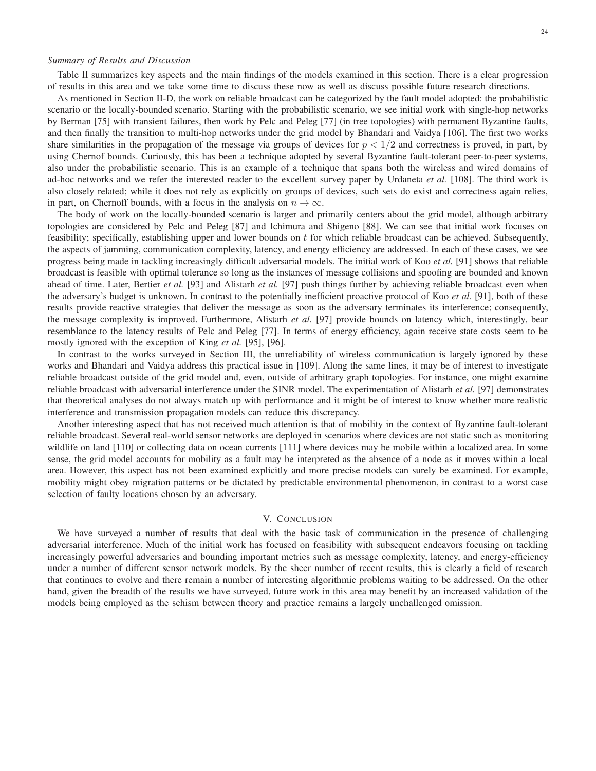## *Summary of Results and Discussion*

Table II summarizes key aspects and the main findings of the models examined in this section. There is a clear progression of results in this area and we take some time to discuss these now as well as discuss possible future research directions.

As mentioned in Section II-D, the work on reliable broadcast can be categorized by the fault model adopted: the probabilistic scenario or the locally-bounded scenario. Starting with the probabilistic scenario, we see initial work with single-hop networks by Berman [75] with transient failures, then work by Pelc and Peleg [77] (in tree topologies) with permanent Byzantine faults, and then finally the transition to multi-hop networks under the grid model by Bhandari and Vaidya [106]. The first two works share similarities in the propagation of the message via groups of devices for  $p < 1/2$  and correctness is proved, in part, by using Chernof bounds. Curiously, this has been a technique adopted by several Byzantine fault-tolerant peer-to-peer systems, also under the probabilistic scenario. This is an example of a technique that spans both the wireless and wired domains of ad-hoc networks and we refer the interested reader to the excellent survey paper by Urdaneta *et al.* [108]. The third work is also closely related; while it does not rely as explicitly on groups of devices, such sets do exist and correctness again relies, in part, on Chernoff bounds, with a focus in the analysis on  $n \to \infty$ .

The body of work on the locally-bounded scenario is larger and primarily centers about the grid model, although arbitrary topologies are considered by Pelc and Peleg [87] and Ichimura and Shigeno [88]. We can see that initial work focuses on feasibility; specifically, establishing upper and lower bounds on  $t$  for which reliable broadcast can be achieved. Subsequently, the aspects of jamming, communication complexity, latency, and energy efficiency are addressed. In each of these cases, we see progress being made in tackling increasingly difficult adversarial models. The initial work of Koo *et al.* [91] shows that reliable broadcast is feasible with optimal tolerance so long as the instances of message collisions and spoofing are bounded and known ahead of time. Later, Bertier *et al.* [93] and Alistarh *et al.* [97] push things further by achieving reliable broadcast even when the adversary's budget is unknown. In contrast to the potentially inefficient proactive protocol of Koo *et al.* [91], both of these results provide reactive strategies that deliver the message as soon as the adversary terminates its interference; consequently, the message complexity is improved. Furthermore, Alistarh *et al.* [97] provide bounds on latency which, interestingly, bear resemblance to the latency results of Pelc and Peleg [77]. In terms of energy efficiency, again receive state costs seem to be mostly ignored with the exception of King *et al.* [95], [96].

In contrast to the works surveyed in Section III, the unreliability of wireless communication is largely ignored by these works and Bhandari and Vaidya address this practical issue in [109]. Along the same lines, it may be of interest to investigate reliable broadcast outside of the grid model and, even, outside of arbitrary graph topologies. For instance, one might examine reliable broadcast with adversarial interference under the SINR model. The experimentation of Alistarh *et al.* [97] demonstrates that theoretical analyses do not always match up with performance and it might be of interest to know whether more realistic interference and transmission propagation models can reduce this discrepancy.

Another interesting aspect that has not received much attention is that of mobility in the context of Byzantine fault-tolerant reliable broadcast. Several real-world sensor networks are deployed in scenarios where devices are not static such as monitoring wildlife on land [110] or collecting data on ocean currents [111] where devices may be mobile within a localized area. In some sense, the grid model accounts for mobility as a fault may be interpreted as the absence of a node as it moves within a local area. However, this aspect has not been examined explicitly and more precise models can surely be examined. For example, mobility might obey migration patterns or be dictated by predictable environmental phenomenon, in contrast to a worst case selection of faulty locations chosen by an adversary.

## V. CONCLUSION

We have surveyed a number of results that deal with the basic task of communication in the presence of challenging adversarial interference. Much of the initial work has focused on feasibility with subsequent endeavors focusing on tackling increasingly powerful adversaries and bounding important metrics such as message complexity, latency, and energy-efficiency under a number of different sensor network models. By the sheer number of recent results, this is clearly a field of research that continues to evolve and there remain a number of interesting algorithmic problems waiting to be addressed. On the other hand, given the breadth of the results we have surveyed, future work in this area may benefit by an increased validation of the models being employed as the schism between theory and practice remains a largely unchallenged omission.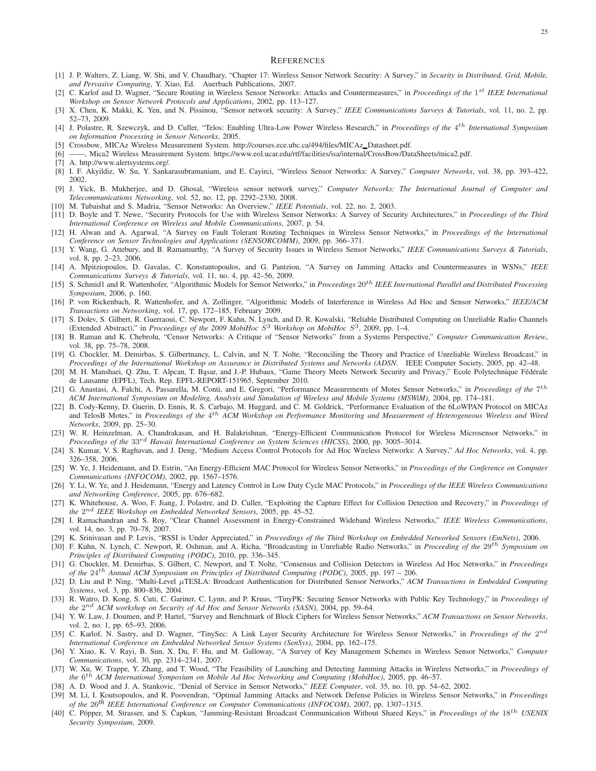#### **REFERENCES**

- [1] J. P. Walters, Z. Liang, W. Shi, and V. Chaudhary, "Chapter 17: Wireless Sensor Network Security: A Survey," in *Security in Distributed, Grid, Mobile, and Pervasive Computing*, Y. Xiao, Ed. Auerbach Publications, 2007.
- [2] C. Karlof and D. Wagner, "Secure Routing in Wireless Sensor Networks: Attacks and Countermeasures," in *Proceedings of the* 1 st *IEEE International Workshop on Sensor Network Protocols and Applications*, 2002, pp. 113–127.
- [3] X. Chen, K. Makki, K. Yen, and N. Pissinou, "Sensor network security: A Survey," *IEEE Communications Surveys & Tutorials*, vol. 11, no. 2, pp. 52–73, 2009.
- [4] J. Polastre, R. Szewczyk, and D. Culler, "Telos: Enabling Ultra-Low Power Wireless Research," in *Proceedings of the* 4 th *International Symposium on Information Processing in Sensor Networks*, 2005.
- [5] Crossbow, MICAz Wireless Measurement System. http://courses.ece.ubc.ca/494/files/MICAz Datasheet.pdf.
- [6] ——, Mica2 Wireless Measurement System. https://www.eol.ucar.edu/rtf/facilities/isa/internal/CrossBow/DataSheets/mica2.pdf.
- [7] A. http://www.alertsystems.org/.
- [8] I. F. Akyildiz, W. Su, Y. Sankarasubramaniam, and E. Cayirci, "Wireless Sensor Networks: A Survey," *Computer Networks*, vol. 38, pp. 393–422, 2002.
- [9] J. Yick, B. Mukherjee, and D. Ghosal, "Wireless sensor network survey," *Computer Networks: The International Journal of Computer and Telecommunications Networking*, vol. 52, no. 12, pp. 2292–2330, 2008.
- [10] M. Tubaishat and S. Madria, "Sensor Networks: An Overview," *IEEE Potentials*, vol. 22, no. 2, 2003.
- [11] D. Boyle and T. Newe, "Security Protocols for Use with Wireless Sensor Networks: A Survey of Security Architectures," in *Proceedings of the Third International Conference on Wireless and Mobile Communications*, 2007, p. 54.
- [12] H. Alwan and A. Agarwal, "A Survey on Fault Tolerant Routing Techniques in Wireless Sensor Networks," in *Proceedings of the International Conference on Sensor Technologies and Applications (SENSORCOMM)*, 2009, pp. 366–371.
- [13] Y. Wang, G. Attebury, and B. Ramamurthy, "A Survey of Security Issues in Wireless Sensor Networks," *IEEE Communications Surveys & Tutorials*, vol. 8, pp. 2–23, 2006.
- [14] A. Mpitziopoulos, D. Gavalas, C. Konstantopoulos, and G. Pantziou, "A Survey on Jamming Attacks and Countermeasures in WSNs," *IEEE Communications Surveys & Tutorials*, vol. 11, no. 4, pp. 42–56, 2009.
- [15] S. Schmid1 and R. Wattenhofer, "Algorithmic Models for Sensor Networks," in *Proceedings* 20th *IEEE International Parallel and Distributed Processing Symposium*, 2006, p. 160.
- [16] P. von Rickenbach, R. Wattenhofer, and A. Zollinger, "Algorithmic Models of Interference in Wireless Ad Hoc and Sensor Networks," *IEEE/ACM Transactions on Networking*, vol. 17, pp. 172–185, February 2009.
- [17] S. Dolev, S. Gilbert, R. Guerraoui, C. Newport, F. Kuhn, N. Lynch, and D. R. Kowalski, "Reliable Distributed Computing on Unreliable Radio Channels (Extended Abstract)," in *Proceedings of the 2009 MobiHoc* S <sup>3</sup> *Workshop on MobiHoc* S 3 , 2009, pp. 1–4.
- [18] B. Raman and K. Chebrolu, "Censor Networks: A Critique of "Sensor Networks" from a Systems Perspective," *Computer Communication Review*, vol. 38, pp. 75–78, 2008.
- [19] G. Chockler, M. Demirbas, S. Gilbertnancy, L. Calvin, and N. T. Nolte, "Reconciling the Theory and Practice of Unreliable Wireless Broadcast," in *Proceedings of the International Workshop on Assurance in Distributed Systems and Networks (ADSN*. IEEE Computer Society, 2005, pp. 42–48.
- [20] M. H. Manshaei, Q. Zhu, T. Alpcan, T. Basar, and J.-P. Hubaux, "Game Theory Meets Network Security and Privacy," Ecole Polytechnique Fédérale de Lausanne (EPFL), Tech. Rep. EPFL-REPORT-151965, September 2010.
- [21] G. Anastasi, A. Falchi, A. Passarella, M. Conti, and E. Gregori, "Performance Measurements of Motes Sensor Networks," in *Proceedings of the*  $7<sup>th</sup>$ *ACM International Symposium on Modeling, Analysis and Simulation of Wireless and Mobile Systems (MSWiM)*, 2004, pp. 174–181.
- [22] B. Cody-Kenny, D. Guerin, D. Ennis, R. S. Carbajo, M. Huggard, and C. M. Goldrick, "Performance Evaluation of the 6LoWPAN Protocol on MICAz and TelosB Motes," in *Proceedings of the* 4 th *ACM Workshop on Performance Monitoring and Measurement of Heterogeneous Wireless and Wired Networks*, 2009, pp. 25–30.
- [23] W. R. Heinzelman, A. Chandrakasan, and H. Balakrishnan, "Energy-Efficient Communication Protocol for Wireless Microsensor Networks," in *Proceedings of the* 33rd *Hawaii International Conference on System Sciences (HICSS)*, 2000, pp. 3005–3014.
- [24] S. Kumar, V. S. Raghavan, and J. Deng, "Medium Access Control Protocols for Ad Hoc Wireless Networks: A Survey," *Ad Hoc Networks*, vol. 4, pp. 326–358, 2006.
- [25] W. Ye, J. Heidemann, and D. Estrin, "An Energy-Efficient MAC Protocol for Wireless Sensor Networks," in *Proceedings of the Conference on Computer Communications (INFOCOM)*, 2002, pp. 1567–1576.
- [26] Y. Li, W. Ye, and J. Heidemann, "Energy and Latency Control in Low Duty Cycle MAC Protocols," in *Proceedings of the IEEE Wireless Communications and Networking Conference*, 2005, pp. 676–682.
- [27] K. Whitehouse, A. Woo, F. Jiang, J. Polastre, and D. Culler, "Exploiting the Capture Effect for Collision Detection and Recovery," in *Proceedings of the* 2 nd *IEEE Workshop on Embedded Networked Sensors*, 2005, pp. 45–52.
- [28] I. Ramachandran and S. Roy, "Clear Channel Assessment in Energy-Constrained Wideband Wireless Networks," *IEEE Wireless Communications*, vol. 14, no. 3, pp. 70–78, 2007.
- [29] K. Srinivasan and P. Levis, "RSSI is Under Appreciated," in *Proceedings of the Third Workshop on Embedded Networked Sensors (EmNets)*, 2006.
- [30] F. Kuhn, N. Lynch, C. Newport, R. Oshman, and A. Richa, "Broadcasting in Unreliable Radio Networks," in *Proceeding of the* 29th *Symposium on Principles of Distributed Computing (PODC)*, 2010, pp. 336–345.
- [31] G. Chockler, M. Demirbas, S. Gilbert, C. Newport, and T. Nolte, "Consensus and Collision Detectors in Wireless Ad Hoc Networks," in *Proceedings of the* 24th *Annual ACM Symposium on Principles of Distributed Computing (PODC)*, 2005, pp. 197 – 206.
- [32] D. Liu and P. Ning, "Multi-Level µTESLA: Broadcast Authentication for Distributed Sensor Networks," *ACM Transactions in Embedded Computing Systems*, vol. 3, pp. 800–836, 2004.
- [33] R. Watro, D. Kong, S. Cuti, C. Gariner, C. Lynn, and P. Kruus, "TinyPK: Securing Sensor Networks with Public Key Technology," in *Proceedings of the* 2 nd *ACM workshop on Security of Ad Hoc and Sensor Networks (SASN)*, 2004, pp. 59–64.
- [34] Y. W. Law, J. Doumen, and P. Hartel, "Survey and Benchmark of Block Ciphers for Wireless Sensor Networks," *ACM Transactions on Sensor Networks*, vol. 2, no. 1, pp. 65–93, 2006.
- [35] C. Karlof, N. Sastry, and D. Wagner, "TinySec: A Link Layer Security Architecture for Wireless Sensor Networks," in *Proceedings of the*  $2^{nd}$ *International Conference on Embedded Networked Sensor Systems (SenSys)*, 2004, pp. 162–175.
- [36] Y. Xiao, K. V. Rayi, B. Sun, X. Du, F. Hu, and M. Galloway, "A Survey of Key Management Schemes in Wireless Sensor Networks," *Computer Communications*, vol. 30, pp. 2314–2341, 2007.
- [37] W. Xu, W. Trappe, Y. Zhang, and T. Wood, "The Feasibility of Launching and Detecting Jamming Attacks in Wireless Networks," in *Proceedings of the* 6 th *ACM International Symposium on Mobile Ad Hoc Networking and Computing (MobiHoc)*, 2005, pp. 46–57.
- [38] A. D. Wood and J. A. Stankovic, "Denial of Service in Sensor Networks," *IEEE Computer*, vol. 35, no. 10, pp. 54–62, 2002.
- [39] M. Li, I. Koutsopoulos, and R. Poovendran, "Optimal Jamming Attacks and Network Defense Policies in Wireless Sensor Networks," in *Proceedings of the* 26*th IEEE International Conference on Computer Communications (INFOCOM)*, 2007, pp. 1307–1315.
- [40] C. Popper, M. Strasser, and S. Capkun, "Jamming-Resistant Broadcast Communication Without Shared Keys," in *Proceedings of the* 18<sup>th</sup> *USENIX Security Symposium*, 2009.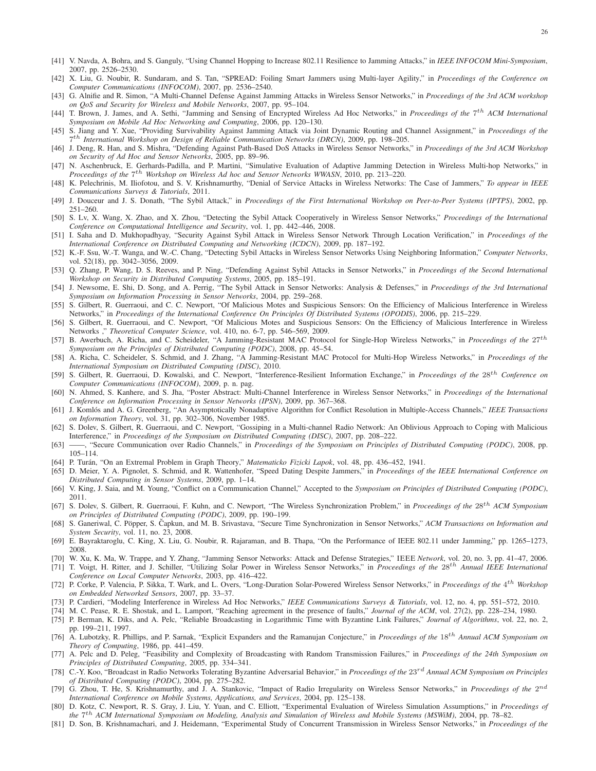- [41] V. Navda, A. Bohra, and S. Ganguly, "Using Channel Hopping to Increase 802.11 Resilience to Jamming Attacks," in *IEEE INFOCOM Mini-Symposium*, 2007, pp. 2526–2530.
- [42] X. Liu, G. Noubir, R. Sundaram, and S. Tan, "SPREAD: Foiling Smart Jammers using Multi-layer Agility," in *Proceedings of the Conference on Computer Communications (INFOCOM)*, 2007, pp. 2536–2540.
- [43] G. Alnifie and R. Simon, "A Multi-Channel Defense Against Jamming Attacks in Wireless Sensor Networks," in *Proceedings of the 3rd ACM workshop on QoS and Security for Wireless and Mobile Networks*, 2007, pp. 95–104.
- [44] T. Brown, J. James, and A. Sethi, "Jamming and Sensing of Encrypted Wireless Ad Hoc Networks," in *Proceedings of the* 7 th *ACM International Symposium on Mobile Ad Hoc Networking and Computing*, 2006, pp. 120–130.
- [45] S. Jiang and Y. Xue, "Providing Survivability Against Jamming Attack via Joint Dynamic Routing and Channel Assignment," in *Proceedings of the* 7 th *International Workshop on Design of Reliable Communication Networks (DRCN)*, 2009, pp. 198–205.
- [46] J. Deng, R. Han, and S. Mishra, "Defending Against Path-Based DoS Attacks in Wireless Sensor Networks," in *Proceedings of the 3rd ACM Workshop on Security of Ad Hoc and Sensor Networks*, 2005, pp. 89–96.
- [47] N. Aschenbruck, E. Gerhards-Padilla, and P. Martini, "Simulative Evaluation of Adaptive Jamming Detection in Wireless Multi-hop Networks," in *Proceedings of the* 7 th *Workshop on Wireless Ad hoc and Sensor Networks WWASN*, 2010, pp. 213–220.
- [48] K. Pelechrinis, M. Iliofotou, and S. V. Krishnamurthy, "Denial of Service Attacks in Wireless Networks: The Case of Jammers," *To appear in IEEE Communications Surveys & Tutorials*, 2011.
- [49] J. Douceur and J. S. Donath, "The Sybil Attack," in *Proceedings of the First International Workshop on Peer-to-Peer Systems (IPTPS)*, 2002, pp. 251–260.
- [50] S. Lv, X. Wang, X. Zhao, and X. Zhou, "Detecting the Sybil Attack Cooperatively in Wireless Sensor Networks," *Proceedings of the International Conference on Computational Intelligence and Security*, vol. 1, pp. 442–446, 2008.
- [51] I. Saha and D. Mukhopadhyay, "Security Against Sybil Attack in Wireless Sensor Network Through Location Verification," in *Proceedings of the International Conference on Distributed Computing and Networking (ICDCN)*, 2009, pp. 187–192.
- [52] K.-F. Ssu, W.-T. Wanga, and W.-C. Chang, "Detecting Sybil Attacks in Wireless Sensor Networks Using Neighboring Information," *Computer Networks*, vol. 52(18), pp. 3042–3056, 2009.
- [53] Q. Zhang, P. Wang, D. S. Reeves, and P. Ning, "Defending Against Sybil Attacks in Sensor Networks," in *Proceedings of the Second International Workshop on Security in Distributed Computing Systems*, 2005, pp. 185–191.
- [54] J. Newsome, E. Shi, D. Song, and A. Perrig, "The Sybil Attack in Sensor Networks: Analysis & Defenses," in *Proceedings of the 3rd International Symposium on Information Processing in Sensor Networks*, 2004, pp. 259–268.
- [55] S. Gilbert, R. Guerraoui, and C. C. Newport, "Of Malicious Motes and Suspicious Sensors: On the Efficiency of Malicious Interference in Wireless Networks," in *Proceedings of the International Conference On Principles Of Distributed Systems (OPODIS)*, 2006, pp. 215–229.
- [56] S. Gilbert, R. Guerraoui, and C. Newport, "Of Malicious Motes and Suspicious Sensors: On the Efficiency of Malicious Interference in Wireless Networks ," *Theoretical Computer Science*, vol. 410, no. 6-7, pp. 546–569, 2009.
- [57] B. Awerbuch, A. Richa, and C. Scheideler, "A Jamming-Resistant MAC Protocol for Single-Hop Wireless Networks," in *Proceedings of the* 27th *Symposium on the Principles of Distributed Computing (PODC)*, 2008, pp. 45–54.
- [58] A. Richa, C. Scheideler, S. Schmid, and J. Zhang, "A Jamming-Resistant MAC Protocol for Multi-Hop Wireless Networks," in *Proceedings of the International Symposium on Distributed Computing (DISC)*, 2010.
- [59] S. Gilbert, R. Guerraoui, D. Kowalski, and C. Newport, "Interference-Resilient Information Exchange," in *Proceedings of the* 28th *Conference on Computer Communications (INFOCOM)*, 2009, p. n. pag.
- [60] N. Ahmed, S. Kanhere, and S. Jha, "Poster Abstract: Multi-Channel Interference in Wireless Sensor Networks," in *Proceedings of the International Conference on Information Processing in Sensor Networks (IPSN)*, 2009, pp. 367–368.
- [61] J. Komlós and A. G. Greenberg, "An Asymptotically Nonadaptive Algorithm for Conflict Resolution in Multiple-Access Channels," IEEE Transactions *on Information Theory*, vol. 31, pp. 302–306, November 1985.
- [62] S. Dolev, S. Gilbert, R. Guerraoui, and C. Newport, "Gossiping in a Multi-channel Radio Network: An Oblivious Approach to Coping with Malicious Interference," in *Proceedings of the Symposium on Distributed Computing (DISC)*, 2007, pp. 208–222.
- [63] ——, "Secure Communication over Radio Channels," in *Proceedings of the Symposium on Principles of Distributed Computing (PODC)*, 2008, pp. 105–114.
- [64] P. Tur´an, "On an Extremal Problem in Graph Theory," *Matematicko Fizicki Lapok*, vol. 48, pp. 436–452, 1941.
- [65] D. Meier, Y. A. Pignolet, S. Schmid, and R. Wattenhofer, "Speed Dating Despite Jammers," in *Proceedings of the IEEE International Conference on Distributed Computing in Sensor Systems*, 2009, pp. 1–14.
- [66] V. King, J. Saia, and M. Young, "Conflict on a Communication Channel," Accepted to the *Symposium on Principles of Distributed Computing (PODC)*, 2011.
- [67] S. Dolev, S. Gilbert, R. Guerraoui, F. Kuhn, and C. Newport, "The Wireless Synchronization Problem," in *Proceedings of the* 28th *ACM Symposium on Principles of Distributed Computing (PODC)*, 2009, pp. 190–199.
- [68] S. Ganeriwal, C. Pöpper, S. Capkun, and M. B. Srivastava, "Secure Time Synchronization in Sensor Networks," ACM Transactions on Information and *System Security*, vol. 11, no. 23, 2008.
- [69] E. Bayraktaroglu, C. King, X. Liu, G. Noubir, R. Rajaraman, and B. Thapa, "On the Performance of IEEE 802.11 under Jamming," pp. 1265–1273, 2008.
- [70] W. Xu, K. Ma, W. Trappe, and Y. Zhang, "Jamming Sensor Networks: Attack and Defense Strategies," IEEE *Network*, vol. 20, no. 3, pp. 41–47, 2006.
- [71] T. Voigt, H. Ritter, and J. Schiller, "Utilizing Solar Power in Wireless Sensor Networks," in *Proceedings of the* 28th *Annual IEEE International Conference on Local Computer Networks*, 2003, pp. 416–422.
- [72] P. Corke, P. Valencia, P. Sikka, T. Wark, and L. Overs, "Long-Duration Solar-Powered Wireless Sensor Networks," in *Proceedings of the* 4 th *Workshop on Embedded Networked Sensors*, 2007, pp. 33–37.
- [73] P. Cardieri, "Modeling Interference in Wireless Ad Hoc Networks," *IEEE Communications Surveys & Tutorials*, vol. 12, no. 4, pp. 551–572, 2010.
- [74] M. C. Pease, R. E. Shostak, and L. Lamport, "Reaching agreement in the presence of faults," *Journal of the ACM*, vol. 27(2), pp. 228–234, 1980. [75] P. Berman, K. Diks, and A. Pelc, "Reliable Broadcasting in Logarithmic Time with Byzantine Link Failures," *Journal of Algorithms*, vol. 22, no. 2,
- pp. 199–211, 1997.
- [76] A. Lubotzky, R. Phillips, and P. Sarnak, "Explicit Expanders and the Ramanujan Conjecture," in *Proceedings of the* 18th *Annual ACM Symposium on Theory of Computing*, 1986, pp. 441–459.
- [77] A. Pelc and D. Peleg, "Feasibility and Complexity of Broadcasting with Random Transmission Failures," in *Proceedings of the 24th Symposium on Principles of Distributed Computing*, 2005, pp. 334–341.
- [78] C.-Y. Koo, "Broadcast in Radio Networks Tolerating Byzantine Adversarial Behavior," in *Proceedings of the* 23rd *Annual ACM Symposium on Principles of Distributed Computing (PODC)*, 2004, pp. 275–282.
- [79] G. Zhou, T. He, S. Krishnamurthy, and J. A. Stankovic, "Impact of Radio Irregularity on Wireless Sensor Networks," in *Proceedings of the*  $2^{nd}$ *International Conference on Mobile Systems, Applications, and Services*, 2004, pp. 125–138.
- [80] D. Kotz, C. Newport, R. S. Gray, J. Liu, Y. Yuan, and C. Elliott, "Experimental Evaluation of Wireless Simulation Assumptions," in *Proceedings of the* 7 th *ACM International Symposium on Modeling, Analysis and Simulation of Wireless and Mobile Systems (MSWiM)*, 2004, pp. 78–82.
- [81] D. Son, B. Krishnamachari, and J. Heidemann, "Experimental Study of Concurrent Transmission in Wireless Sensor Networks," in *Proceedings of the*